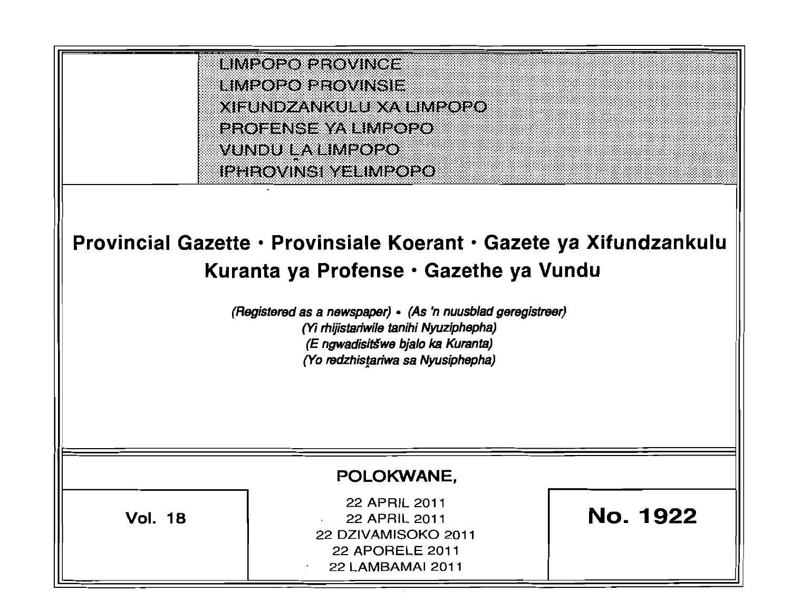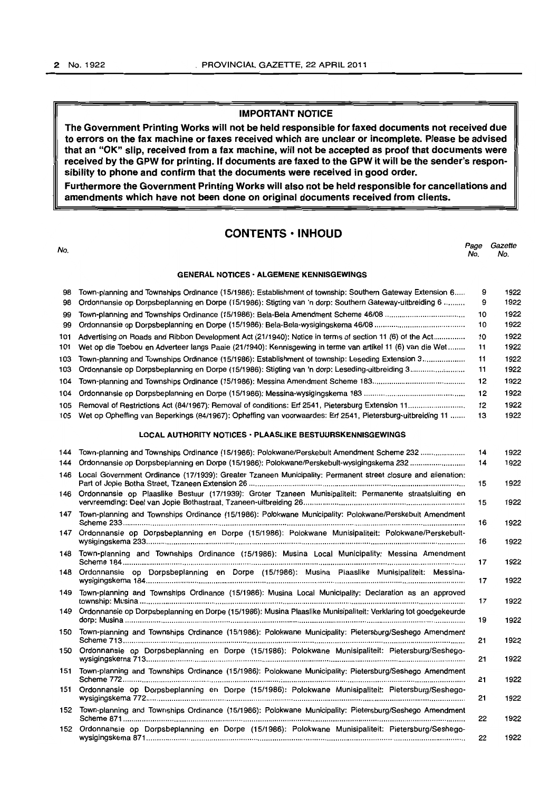### IMPORTANT NOTICE

The Government Printing Works will not be held responsible for faxed documents not received due to errors on the fax machine or faxes received which are unclear or incomplete. Please be advised that an "OK" slip, received from a fax machine, will not be accepted as proof that documents were received by the GPW for printing. If documents are faxed to the GPW it will be the sender's responsibility to phone and confirm that the documents were received in good order.

Furthermore the Government Printing Works will also not be held responsible for cancellations and amendments which have not been done on original documents received from clients.

### CONTENTS • INHOUD

| No.        |                                                                                                                                                                                                                           | Page<br>No. | Gazette<br>No. |
|------------|---------------------------------------------------------------------------------------------------------------------------------------------------------------------------------------------------------------------------|-------------|----------------|
|            | <b>GENERAL NOTICES · ALGEMENE KENNISGEWINGS</b>                                                                                                                                                                           |             |                |
| 98<br>98   | Town-planning and Townships Ordinance (15/1986): Establishment of township: Southern Gateway Extension 6<br>Ordonnansie op Dorpsbeplanning en Dorpe (15/1986): Stigting van 'n dorp: Southern Gateway-uitbreiding 6       | 9<br>9      | 1922<br>1922   |
| 99<br>99   |                                                                                                                                                                                                                           | 10<br>10    | 1922<br>1922   |
| 101<br>101 | Advertising on Roads and Ribbon Development Act (21/1940): Notice in terms of section 11 (6) of the Act<br>Wet op die Toebou en Adverteer langs Paaie (21/1940): Kennisgewing in terme van artikel 11 (6) van die Wet     | 10<br>11    | 1922<br>1922   |
| 103<br>103 | Town-planning and Townships Ordinance (15/1986): Establishment of township: Leseding Extension 3                                                                                                                          | 11<br>11    | 1922<br>1922   |
| 104        |                                                                                                                                                                                                                           | 12          | 1922           |
| 104        |                                                                                                                                                                                                                           | 12          | 1922           |
| 105<br>105 | Wet op Opheffing van Beperkings (84/1967): Opheffing van voorwaardes: Erf 2541, Pietersburg-uitbreiding 11                                                                                                                | 12<br>13    | 1922<br>1922   |
|            | LOCAL AUTHORITY NOTICES · PLAASLIKE BESTUURSKENNISGEWINGS                                                                                                                                                                 |             |                |
| 144<br>144 | Town-planning and Townships Ordinance (15/1986): Polokwane/Perskebult Amendment Scheme 232<br>Ordonnansie op Dorpsbeplanning en Dorpe (15/1986): Polokwane/Perskebult-wysigingskema 232                                   | 14<br>14    | 1922<br>1922   |
|            | 146 Local Government Ordinance (17/1939): Greater Tzaneen Municipality: Permanent street closure and alienation:                                                                                                          | 15          | 1922           |
|            | 146 Ordonnansie op Plaaslike Bestuur (17/1939): Groter Tzaneen Munisipaliteit: Permanente straatsluiting en                                                                                                               | 15          | 1922           |
|            | 147 Town-planning and Townships Ordinance (15/1986): Polokwane Municipality: Polokwane/Perskebult Amendment                                                                                                               | 16          | 1922           |
|            | 147 Ordonnansie op Dorpsbeplanning en Dorpe (15/1986): Polokwane Munisipaliteit: Polokwane/Perskebult-                                                                                                                    | 16          | 1922           |
|            | 148 Town-planning and Townships Ordinance (15/1986): Musina Local Municipality: Messina Amendment                                                                                                                         | 17          | 1922           |
|            | 148 Ordonnansie op Dorpsbeplanning en Dorpe (15/1986): Musina Plaaslike Munisipaliteit: Messina-                                                                                                                          | 17          | 1922           |
| 149<br>149 | Town-planning and Townships Ordinance (15/1986): Musina Local Municipality: Declaration as an approved<br>Ordonnansie op Dorpsbeplanning en Dorpe (15/1986): Musina Plaaslike Munisipaliteit: Verklaring tot goedgekeurde | 17          | 1922           |
|            |                                                                                                                                                                                                                           | 19          | 1922           |
|            | 150 Town-planning and Townships Ordinance (15/1986): Polokwane Municipality: Pietersburg/Seshego Amendment<br>150 Ordonnansie op Dorpsbeplanning en Dorpe (15/1986): Polokwane Munisipaliteit: Pietersburg/Seshego-       | 21          | 1922           |
|            |                                                                                                                                                                                                                           | 21          | 1922           |
| 151        | Town-planning and Townships Ordinance (15/1986): Polokwane Municipality: Pietersburg/Seshego Amendment<br>151 Ordonnansie op Dorpsbeplanning en Dorpe (15/1986): Polokwane Munisipaliteit: Pietersburg/Seshego-           | 21          | 1922           |
|            |                                                                                                                                                                                                                           | 21          | 1922           |
| 152        | 152 Town-planning and Townships Ordinance (15/1986): Polokwane Municipality: Pietersburg/Seshego Amendment<br>Ordonnansie op Dorpsbeplanning en Dorpe (15/1986): Polokwane Munisipaliteit: Pietersburg/Seshego-           | 22          | 1922           |
|            |                                                                                                                                                                                                                           | 22          | 1922           |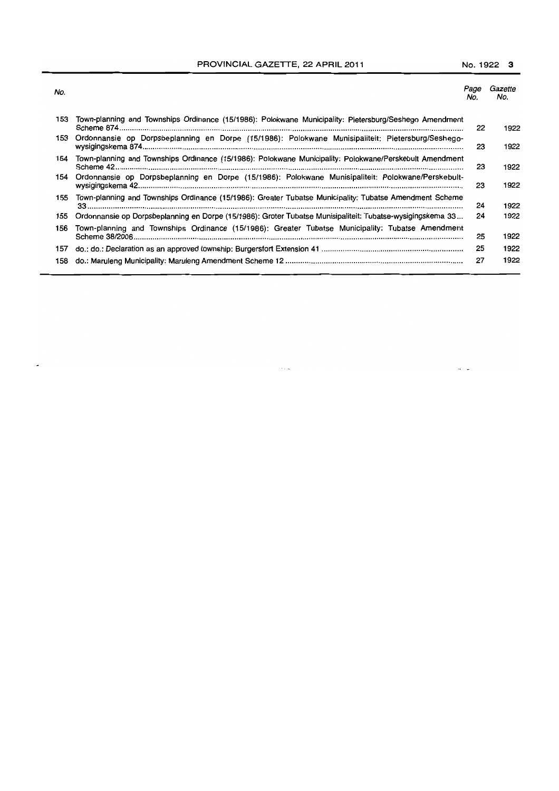PROVINCIAL GAZETTE, 22 APRIL 2011 No. 1922 3

| No. |                                                                                                            | Page<br>No. | Gazette<br>No. |
|-----|------------------------------------------------------------------------------------------------------------|-------------|----------------|
| 153 | Town-planning and Townships Ordinance (15/1986): Polokwane Municipality: Pietersburg/Seshego Amendment     | 22          | 1922           |
| 153 | Ordonnansie op Dorpsbeplanning en Dorpe (15/1986): Polokwane Munisipaliteit: Pietersburg/Seshego-          | 23          | 1922           |
| 154 | Town-planning and Townships Ordinance (15/1986): Polokwane Municipality: Polokwane/Perskebult Amendment    | 23          | 1922           |
| 154 | Ordonnansie op Dorpsbeplanning en Dorpe (15/1986): Polokwane Munisipaliteit: Polokwane/Perskebult-         | 23          | 1922           |
| 155 | Town-planning and Townships Ordinance (15/1986): Greater Tubatse Municipality: Tubatse Amendment Scheme    | 24          | 1922           |
| 155 | Ordonnansie op Dorpsbeplanning en Dorpe (15/1986): Groter Tubatse Munisipaliteit: Tubatse-wysigingskema 33 | 24          | 1922           |
| 156 | Town-planning and Townships Ordinance (15/1986): Greater Tubatse Municipality: Tubatse Amendment           | 25          | 1922           |
| 157 |                                                                                                            | 25          | 1922           |
| 158 |                                                                                                            | 27          | 1922           |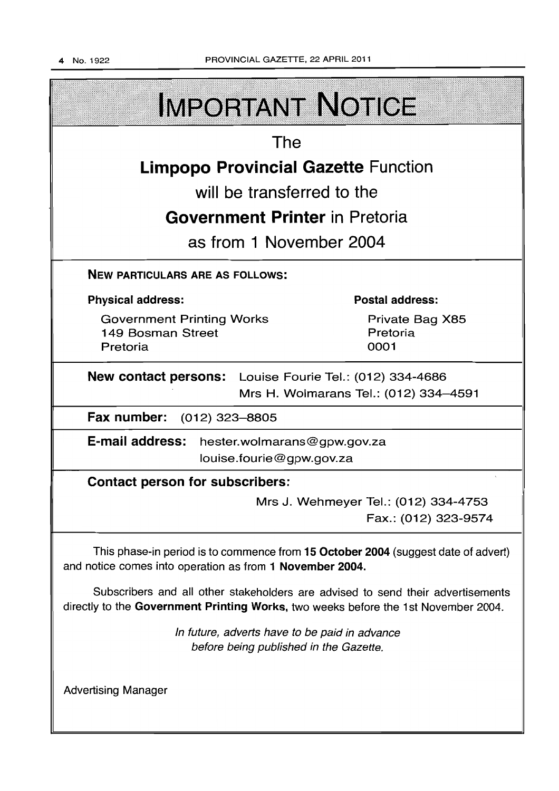| <b>IMPORTANT NOTICE</b>                                                                                                                                               |                                                              |  |  |  |
|-----------------------------------------------------------------------------------------------------------------------------------------------------------------------|--------------------------------------------------------------|--|--|--|
| The                                                                                                                                                                   |                                                              |  |  |  |
| <b>Limpopo Provincial Gazette Function</b>                                                                                                                            |                                                              |  |  |  |
| will be transferred to the                                                                                                                                            |                                                              |  |  |  |
| <b>Government Printer</b> in Pretoria                                                                                                                                 |                                                              |  |  |  |
| as from 1 November 2004                                                                                                                                               |                                                              |  |  |  |
| <b>NEW PARTICULARS ARE AS FOLLOWS:</b>                                                                                                                                |                                                              |  |  |  |
| <b>Physical address:</b>                                                                                                                                              | <b>Postal address:</b>                                       |  |  |  |
| <b>Government Printing Works</b><br>149 Bosman Street<br>Pretoria                                                                                                     | Private Bag X85<br>Pretoria<br>0001                          |  |  |  |
| <b>New contact persons:</b> Louise Fourie Tel.: (012) 334-4686<br>Mrs H. Wolmarans Tel.: (012) 334-4591                                                               |                                                              |  |  |  |
| Fax number: (012) 323-8805                                                                                                                                            |                                                              |  |  |  |
| <b>E-mail address:</b><br>hester.wolmarans@gpw.gov.za<br>louise.fourie@gpw.gov.za                                                                                     |                                                              |  |  |  |
| <b>Contact person for subscribers:</b>                                                                                                                                |                                                              |  |  |  |
|                                                                                                                                                                       | Mrs J. Wehmeyer Tel.: (012) 334-4753<br>Fax.: (012) 323-9574 |  |  |  |
| This phase-in period is to commence from 15 October 2004 (suggest date of advert)<br>and notice comes into operation as from 1 November 2004.                         |                                                              |  |  |  |
| Subscribers and all other stakeholders are advised to send their advertisements<br>directly to the Government Printing Works, two weeks before the 1st November 2004. |                                                              |  |  |  |
| In future, adverts have to be paid in advance<br>before being published in the Gazette.                                                                               |                                                              |  |  |  |
| <b>Advertising Manager</b>                                                                                                                                            |                                                              |  |  |  |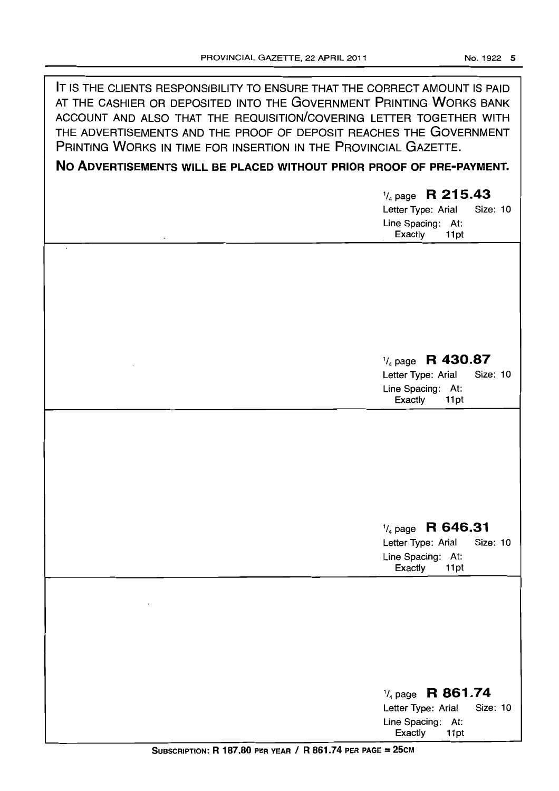**IT** IS THE CLIENTS RESPONSIBILITY TO ENSURE THAT THE CORRECT AMOUNT IS PAID

| AT THE CASHIER OR DEPOSITED INTO THE GOVERNMENT PRINTING WORKS BANK<br>ACCOUNT AND ALSO THAT THE REQUISITION/COVERING LETTER TOGETHER WITH<br>THE ADVERTISEMENTS AND THE PROOF OF DEPOSIT REACHES THE GOVERNMENT<br>PRINTING WORKS IN TIME FOR INSERTION IN THE PROVINCIAL GAZETTE. |                                                                                                       |  |  |  |
|-------------------------------------------------------------------------------------------------------------------------------------------------------------------------------------------------------------------------------------------------------------------------------------|-------------------------------------------------------------------------------------------------------|--|--|--|
| NO ADVERTISEMENTS WILL BE PLACED WITHOUT PRIOR PROOF OF PRE-PAYMENT.                                                                                                                                                                                                                |                                                                                                       |  |  |  |
|                                                                                                                                                                                                                                                                                     | $\frac{1}{4}$ page R 215.43<br>Letter Type: Arial<br>Size: 10<br>Line Spacing: At:<br>Exactly<br>11pt |  |  |  |
|                                                                                                                                                                                                                                                                                     |                                                                                                       |  |  |  |
|                                                                                                                                                                                                                                                                                     |                                                                                                       |  |  |  |
|                                                                                                                                                                                                                                                                                     | $\frac{1}{4}$ page R 430.87                                                                           |  |  |  |
|                                                                                                                                                                                                                                                                                     | Letter Type: Arial<br>Size: 10<br>Line Spacing: At:<br>Exactly<br>11pt                                |  |  |  |
|                                                                                                                                                                                                                                                                                     |                                                                                                       |  |  |  |
|                                                                                                                                                                                                                                                                                     |                                                                                                       |  |  |  |
|                                                                                                                                                                                                                                                                                     |                                                                                                       |  |  |  |
|                                                                                                                                                                                                                                                                                     | $\frac{1}{4}$ page R 646.31<br>Letter Type: Arial<br>Size: 10<br>Line Spacing: At:<br>Exactly<br>11pt |  |  |  |
|                                                                                                                                                                                                                                                                                     |                                                                                                       |  |  |  |
|                                                                                                                                                                                                                                                                                     |                                                                                                       |  |  |  |
|                                                                                                                                                                                                                                                                                     |                                                                                                       |  |  |  |
|                                                                                                                                                                                                                                                                                     | $\frac{1}{4}$ page R 861.74<br>Letter Type: Arial<br>Size: 10<br>Line Spacing: At:                    |  |  |  |
| $C_{\text{UDGCDIATION}}$ D 107.00 prp yrap / D 961.74 prp page - 25CM                                                                                                                                                                                                               | Exactly<br>11pt                                                                                       |  |  |  |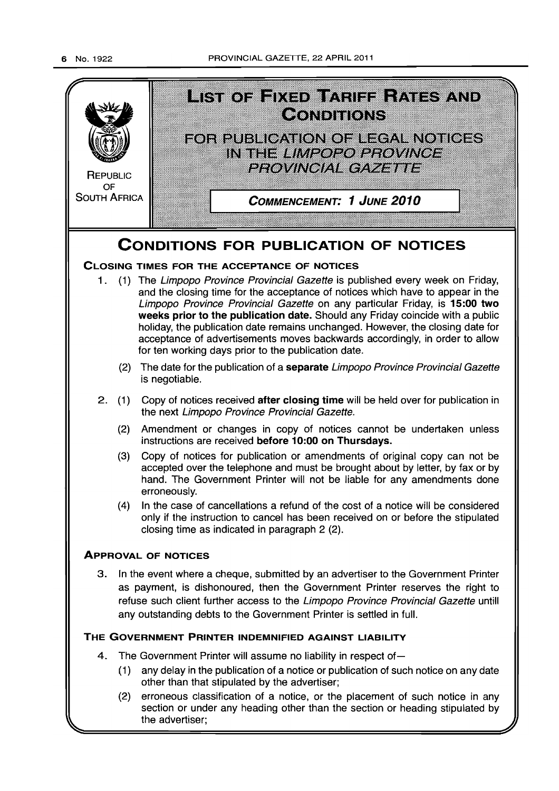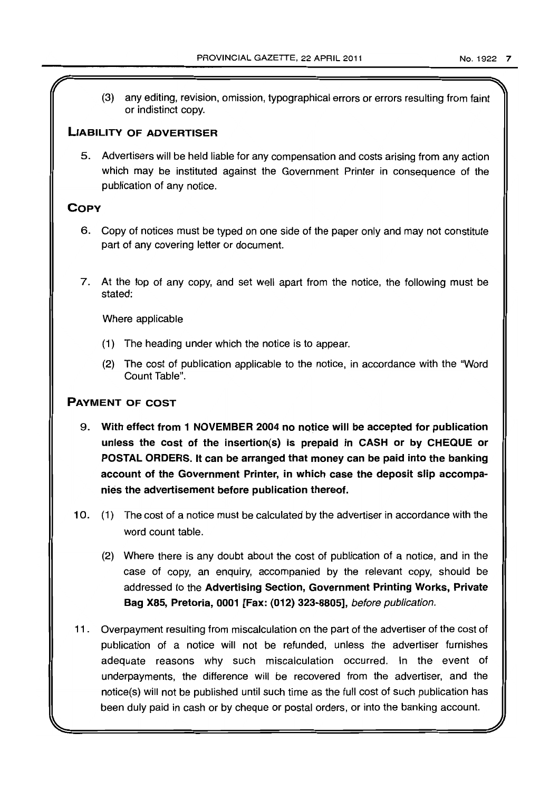(3) any editing, revision, omission, typographical errors or errors resulting from faint or indistinct copy.

### LIABILITY OF ADVERTISER

5. Advertisers will be held liable for any compensation and costs arising from any action which may be instituted against the Government Printer in consequence of the publication of any notice.

## **COPY**

- 6. Copy of notices must be typed on one side of the paper only and may not constitute part of any covering letter or document.
- 7. At the top of any copy, and set well apart from the notice. the following must be stated:

Where applicable

- (1) The heading under which the notice is to appear.
- (2) The cost of publication applicable to the notice, in accordance with the "Word Count Table".

## PAYMENT OF COST

- 9. With effect from 1 NOVEMBER 2004 no notice will be accepted for publication unless the cost of the insertion{s) is prepaid in CASH or by CHEQUE or POSTAL ORDERS. It can be arranged that money can be paid into the banking account of the Government Printer, in which case the deposit slip accompanies the advertisement before publication thereof.
- 10. (1) The cost of a notice must be calculated by the advertiser in accordance with the word count table.
	- (2) Where there is any doubt about the cost of publication of a notice, and in the case of copy, an enquiry, accompanied by the relevant copy, should be addressed to the Advertising Section, Government Printing Works, Private Bag X85, Pretoria, 0001 [Fax: (012) 323-8805], before publication.
- 11. Overpayment resulting from miscalculation on the part of the advertiser of the cost of publication of a notice will not be refunded, unless the advertiser furnishes adequate reasons why such miscalculation occurred. In the event of underpayments, the difference will be recovered from the advertiser, and the notice(s) will not be published until such time as the full cost of such publication has been duly paid in cash or by cheque or postal orders, or into the banking account.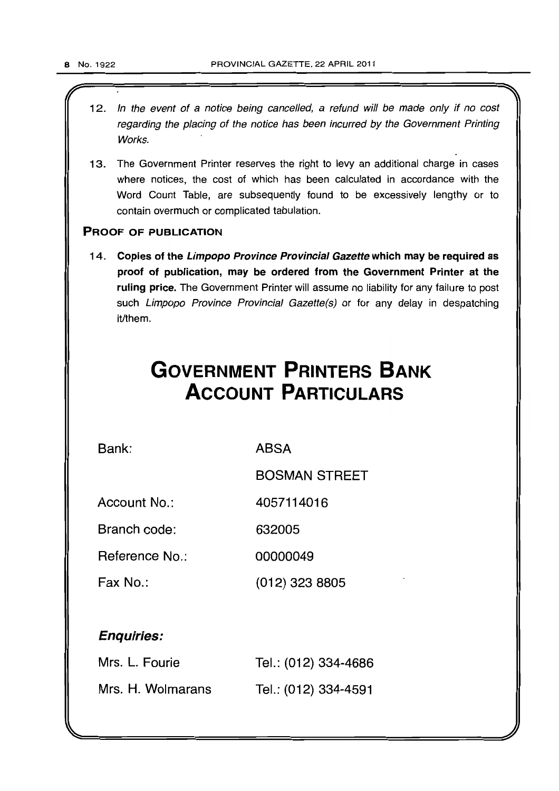12. In the event of a notice being cancelled, a refund will be made only if no cost regarding the placing of the notice has been incurred by the Government Printing Works.

 $\mathbb{Z}$  . The set of  $\mathbb{Z}$  is the set of  $\mathbb{Z}$ 

13. The Government Printer reserves the right to levy an additional charge in cases where notices, the cost of which has been calculated in accordance with the Word Count Table, are subsequently found to be excessively lengthy or to contain overmuch or complicated tabulation.

### PROOF OF PUBLICATION

14. Copies of the Limpopo Province Provincial Gazette which may be required as proof of publication, may be ordered from the Government Printer at the ruling price. The Government Printer will assume no liability for any failure to post such Limpopo Province Provincial Gazette(s) or for any delay in despatching it/them.

# **GOVERNMENT PRINTERS BANK ACCOUNT PARTICULARS**

Bank:

ABSA

BOSMAN STREET

Account No.: 4057114016

Branch code: 632005

Reference No.: 00000049

Fax No.: (012) 323 8805

## Enquiries:

| Mrs. L. Fourie    | Tel.: (012) 334-4686 |
|-------------------|----------------------|
| Mrs. H. Wolmarans | Tel.: (012) 334-4591 |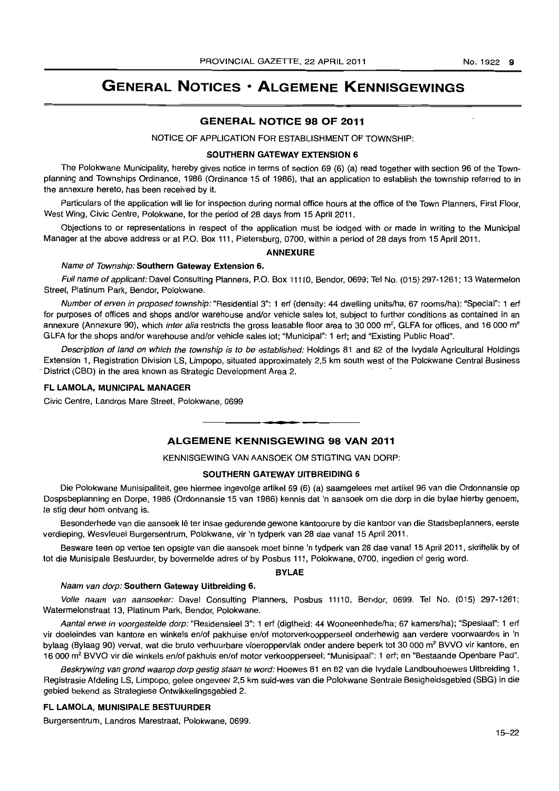## **GENERAL NOTICES • ALGEMENE KENNISGEWINGS**

### **GENERAL NOTICE 98 OF** 2011

NOTICE OF APPLICATION FOR ESTABLISHMENT OF TOWNSHIP:

### SOUTHERN GATEWAY EXTENSION 6

The Polokwane Municipality, hereby gives notice in terms of section 69 (6) (a) read together with section 96 of the Townplanning and Townships Ordinance, 1986 (Ordinance 15 of 1986), that an application to establish the township referred to in the annexure hereto, has been received by it.

Particulars of the application will lie for inspection during normal office hours at the office of the Town Planners, First Floor, West Wing, Civic Centre. Polokwane, for the period of 28 days from 15 April 2011.

Objections to or representations in respect of the application must be lodged with or made in writing to the Municipal Manager at the above address or at P.O. Box 111. Pietersburg, 0700, within a period of 28 days from 15 April 2011.

### ANNEXURE

### Name of Township: Southern Gateway Extension 6.

Full name of applicant: Davel Consulting Planners, P.O. Box 11110, Bendor, 0699; Tel No. (015) 297-1261; 13 Watermelon Street, Platinum Park, Bendor, Polokwane.

Number of erven in proposed township: "Residential 3": 1 ert (density: 44 dwelling units/ha; 67 rooms/ha); "Special": 1 ert for purposes of offices and shops and/or warehouse and/or vehicle sales lot, subject to further conditions as contained in an annexure (Annexure 90), which inter alia restricts the gross leasable floor area to 30 000  $m^2$ , GLFA for offices, and 16 000  $m^2$ GLFA for the shops and/or warehouse and/or vehicle sales lot; "Municipal": 1 ert; and "Existing Public Road".

Description of land on which the township is to be established: Holdings 81 and 82 of the Ivydale Agricultural Holdings Extension 1, Registration Division LS. Limpopo, situated approximately 2,5 km south west of the Polokwane Central Business District (CBD) in the area known as Strategic Development Area 2.

### FL LAMOLA, MUNICIPAL MANAGER

Civic Centre, Landros Mare Street, Polokwane, 0699

## • **• • ALGEMENE KENNISGEWING 98 VAN** 2011

KENNISGEWING VAN AANSOEK OM STIGTING VAN DORP:

### SOUTHERN GATEWAY UITBREIDING 6

Die Polokwane Munisipaliteit, gee hiermee ingevolge artikel 69 (6) (a) saamgelees met artikel 96 van die Ordonnansie op Dospsbeplanning en Dorpe, 1986 (Ordonnansie 15 van 1986) kennis dat 'n aansoek om die dorp in die bylae hierby genoem, te stig deur hom ontvang is.

Besonderhede van die aansoek lê ter insae gedurende gewone kantoorure by die kantoor van die Stadsbeplanners, eerste verdieping, Wesvleuel Burgersentrum, Polokwane, vir 'n tydperk van 28 dae vanaf 15 April 2011.

Besware teen op vertoe ten opsigte van die aansoek moet binne 'n tydperk van 28 dae vanaf 15 April 2011, skriftelik by of tot die Munisipale Bestuurder, by bovermelde adres of by Posbus 111, Polokwane, 0700, ingedien of gerig word.

#### BYLAE

### Naam van dorp: Southern Gateway Uitbreiding 6.

Volle naam van aansoeker: Davel Consulting Planners, Posbus 11110, Bendor, 0699. Tel No. (015) 297-1261; Watermelonstraat 13, Platinum Park, Bendor, Polokwane.

Aantal erwe in voorgestelde dorp: "Residensieel 3": 1 erf (digtheid: 44 Wooneenhede/ha; 67 kamers/ha); "Spesiaal": 1 erf vir doeleindes van kantore en winkels en/of pakhuise en/of motorverkoopperseel onderhewig aan verdere voorwaardes in 'n bylaag (Bylaag 90) vervat, wat die bruto verhuurbare vloeroppervlak onder andere beperk tot 30 000 m<sup>2</sup> BVVO vir kantore, en 16000 m<sup>2</sup>BVVO vir die winkels en/of pakhuis en/of motor verkoopperseel; "Munisipaal": 1 ert; en "Bestaande Openbare Pad".

Beskrywing van grond waarop dorp gestig staan te word: Hoewes 81 en 82 van die Ivydale Landbouhoewes Uitbreiding 1, Registrasie Afdeling LS, Limpopo, gelee ongeveer 2,5 km suid-wes van die Polokwane Sentrale Besigheidsgebied (SBG) in die gebied bekend as Strategiese Ontwikkelingsgebied 2.

### FL LAMOLA, MUNISIPALE BESTUURDER

Burgersentrum, Landros Marestraat, Polokwane, 0699.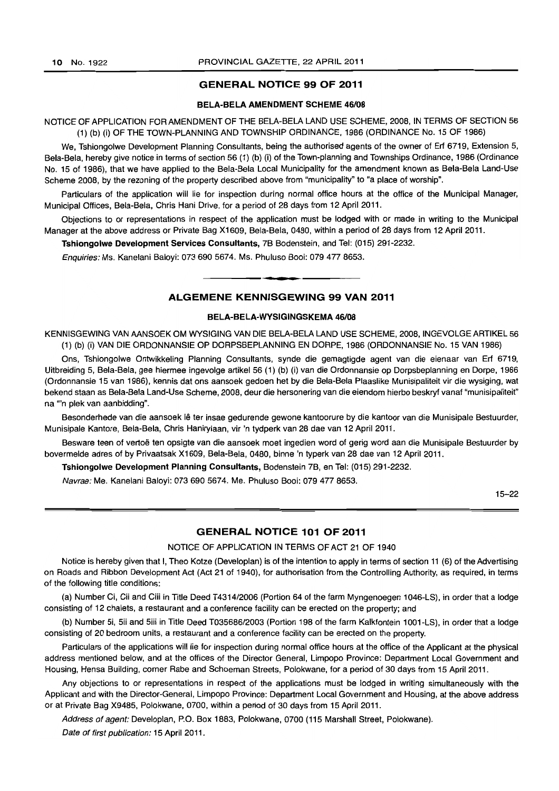### GENERAL NOTICE 99 OF 2011

### BELA-BELA AMENDMENT SCHEME *46108*

### NOTICE OF APPLICATION FOR AMENDMENT OF THE BELA-BELA LAND USE SCHEME, 2008, IN TERMS OF SECTION 56 (1) (b) (i) OF THE TOWN-PLANNING AND TOWNSHIP ORDINANCE, 1986 (ORDINANCE No. 15 OF 1986)

We, Tshiongolwe Development Planning Consultants, being the authorised agents of the owner of Erf 6719, Extension 5, Bela-Bela, hereby give notice in terms of section 56 (1) (b) (i) of the Town-planning and Townships Ordinance, 1986 (Ordinance No. 15 of 1986), that we have applied to the Bela-Bela Local Municipality for the amendment known as Bela-Bela Land-Use Scheme 2008, by the rezoning of the property described above from "municipality" to "a place of worship".

Particulars of the application will lie for inspection during normal office hours at the office of the Municipal Manager, Municipal Offices, Bela-Bela, Chris Hani Drive, for a period of 28 days from 12 April 2011.

Objections to or representations in respect of the application must be lodged with or made in writing to the Municipal Manager at the above address or Private Bag X1609, Bela-Bela, 0480, within a period of 28 days from 12 April 2011.

Tshiongolwe Development Services Consultants, 7B Bodenstein, and Tel: (015) 291-2232.

Enquiries: Ms. Kanelani Baloyi: 073 690 5674. Ms. Phuluso Booi: 079 477 8653.

### ALGEMENE KENNISGEWING 99 VAN 2011

**- .** 

### BELA-BELA-WYSIGINGSKEMA *46108*

KENNISGEWING VAN AANSOEK OM WYSIGING VAN DIE BELA-BELA LAND USE SCHEME, 2008, INGEVOLGE ARTIKEL 56 (1) (b) (i) VAN DIE ORDONNANSIE OP DORPSBEPLANNING EN DORPE, 1986 (ORDONNANSIE No. 15 VAN 1986)

Ons, Tshiongolwe Ontwikkeling Planning Consultants, synde die gemagtigde agent van die eienaar van Erf 6719. Uitbreiding 5, Bela-Bela, gee hiermee ingevolge artikel 56 (1) (b) (i) van die Ordonnansie op Dorpsbeplanning en Dorpe, 1986 (Ordonnansie 15 van 1986), kennis dat ons aansoek gedoen het by die Bela-Bela Plaaslike Munisipaliteit vir die wysiging, wat bekend staan as Bela-Bela Land-Use Scheme, 2008, deur die hersonering van die eiendom hierbo beskryf vanaf "munisipaliteit" na "'n plek van aanbidding".

Besonderhede van die aansoek lê ter insae gedurende gewone kantoorure by die kantoor van die Munisipale Bestuurder, Munisipale Kantore, Bela-Bela, Chris Hanirylaan, vir 'n tydperk van 28 dae van 12 April 2011.

Besware teen of vertoe ten opsigte van die aansoek moet ingedien word of gerig word aan die Munisipale Bestuurder by bovermelde adres of by Privaatsak X1609, Bela-Bela, 0480, binne 'n typerk van 28 dae van 12 April 2011.

Tshiongolwe Development Planning Consultants, Bodenstein 7B, en Tel: (015) 291-2232.

Navrae: Me. Kanelani Baloyi: 073 690 5674. Me. Phuluso Booi: 079 477 8653.

15-22

### GENERAL NOTICE 101 OF 2011

NOTICE OF APPLICATION IN TERMS OF ACT 21 OF 1940

Notice is hereby given that I, Theo Kotze (Developlan) is of the intention to apply in terms of section 11 (6) of the Advertising on Roads and Ribbon Development Act (Act 21 of 1940), for authorisation from the Controlling Authority, as required, in terms of the following title conditions:

(a) Number Ci, Cii and Ciii in Title Deed T4314/2006 (Portion 64 of the farm Myngenoegen 1046-LS), in order that a lodge consisting of 12 chalets, a restaurant and a conference facility can be erected on the property; and

(b) Number 5i, 5ii and 5iii in Title Deed *T035686/2003* (Portion 198 of the farm Kalkfontein 1 001-LS), in order that a lodge consisting of 20 bedroom units, a restaurant and a conference facility can be erected on the property.

Particulars of the applications will lie for inspection during normal office hours at the office of the Applicant at the physical address mentioned below, and at the offices of the Director General, Limpopo Province: Department Local Government and Housing, Hensa Building, corner Rabe and Schoeman Streets, Polokwane, for a period of 30 days from 15 April 2011.

Any objections to or representations in respect of the applications must be lodged in writing simultaneously with the Applicant and with the Director-General, Limpopo Province: Department Local Government and Housing, at the above address or at Private Bag X9485, Polokwane, 0700, within a period of 30 days from 15 April 2011.

Address of agent: Developlan, P.O. Box 1883, Polokwane, 0700 (115 Marshall Street, Polokwane).

Date of first publication: 15 April 2011.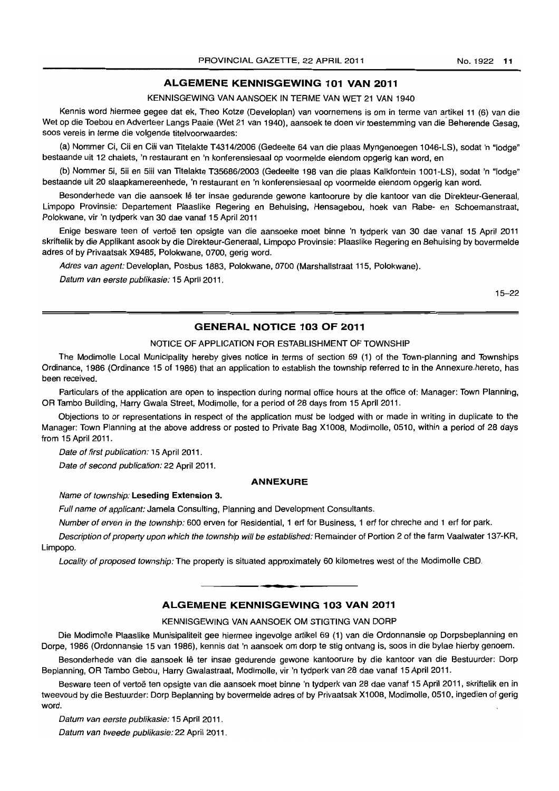### **ALGEMENE KENNISGEWING 101 VAN 2011**

KENNISGEWING VAN AANSOEK IN TERME VAN WET 21 VAN 1940

Kennis word hiermee gegee dat ek, Theo Kotze (Developlan) van voornemens is om in terme van artikel 11 (6) van die Wet op die Toebou en Adverteer Langs Paaie (Wet 21 van 1940), aansoek te doen vir toestemming van die' Beherende Gesag, soos vereis in terme die volgende titelvoorwaardes:

(a) Nommer Ci, Cii en Ciii van Titelakte T4314/2006 (Gedeelte 64 van die plaas Myngenoegen 1046-LS), sodat 'n "lodge" bestaande uit 12 chalets, 'n restaurant en 'n konferensiesaal op voormelde eiendom opgerig kan word, en

(b) Nommer 5i, 5ii en 5iij van Titelakte T35686/2003 (Gedeelte 198 van die plaas Kalkfontein 1001-LS), sodat 'n "lodge" bestaande uit 20 slaapkamereenhede, 'n restaurant en 'n konferensiesaal op voormelde eiendom opgerig kan word.

Besonderhede van die aansoek lê ter insae gedurende gewone kantoorure by die kantoor van die Direkteur-Generaal, Limpopo Provinsie: Departement Plaaslike Regering en Behuising, Hensagebou, hoek van Rabe- en Schoemanstraat, Polokwane, vir 'n tydperk van 30 dae vanaf 15 April 2011

Enige besware teen of vertoë ten opsigte van die aansoeke moet binne 'n tydperk van 30 dae vanaf 15 April 2011 skriftelik by die Applikant asook by die Direkteur-Generaal, Limpopo Provinsie: Plaaslike Regering en Behuising by bovermelde adres of by Privaatsak X9485, Polokwane, 0700, gerig word.

Adres van agent: Developlan, Posbus 1883, Polokwane, 0700 (Marshallstraat 115. Polokwane).

Datum van eerste publikasie: 15 April 2011.

15-22

### **GENERAL NOTICE 103 OF 2011**

### NOTICE OF APPLICATION FOR ESTABLISHMENT OF TOWNSHIP

The Modimolle Local Municipality hereby gives notice in terms of section 69 (1) of the Town-planning and Townships Ordinance, 1986 (Ordinance 15 of 1986) that an application to establish the township referred to in the Annexure.hereto. has been received.

Particulars of the application are open to inspection during normal office hours at the office of: Manager: Town Planning. OR Tambo Building, Harry Gwala Street, Modimolle, for a period of 28 days from 15 April 2011.

Objections to or representations in respect of the application must be lodged with or made in writing in duplicate to the Manager: Town Planning at the above address or posted to Private Bag X1008, Modimolle, 0510, within a period of 28 days from 15 April 2011.

Date of first publication: 15 April 2011.

Date of second publication: 22 April 2011.

#### **ANNEXURE**

#### Name of township: Leseding Extension 3.

Full name of applicant: Jamela Consulting, Planning and Development Consultants.

Number of erven in the township: 600 erven for Residential, 1 ert for Business, 1 ert for chreche and 1 ert for park.

Description of property upon which the township will be established: Remainder of Portion 2 of the farm Vaalwater 137-KR, Limpopo.

Locality of proposed township: The property is situated approximately 60 kilometres west of the Modimolle CBD.

### • **• I ALGEMENE KENNISGEWING 103 VAN 2011**

### KENNISGEWING VAN AANSOEK OM STIGTING VAN DORP

Die Modimolle Plaaslike Munisipaliteit gee hiermee ingevolge artikel 69 (1) van die Ordonnansie op Dorpsbeplanning en Dorpe, 1986 (Ordonnansie 15 van 1986), kennis dat 'n aansoek om dorp te stig ontvang is, soos in die bylae hierby genoem.

Besonderhede van die aansoek lê ter insae gedurende gewone kantoorure by die kantoor van die Bestuurder: Dorp Beplanning, OR Tambo Gebou, Harry Gwalastraat, Modimolle, vir 'n tydperk van 28 dae vanaf 15 April 2011.

Besware teen of vertoë ten opsigte van die aansoek moet binne 'n tydperk van 28 dae vanaf 15 April 2011, skriftelik en in tweevoud by die Bestuurder: Dorp Beplanning by bovermelde adres of by Privaatsak X1008, Modimolle, 0510, ingedien of gerig word.

Datum van eerste publikasie: 15 April 2011.

Datum van tweede publikasie: 22 April 2011.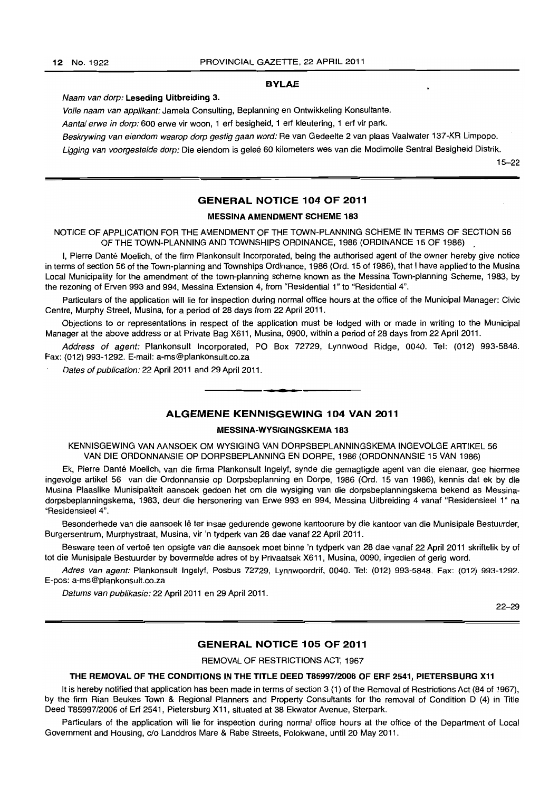#### **BYLAE**

### Naam van dorp: **Leseding Uitbreiding** 3.

Volle naam van applikant: Jameia Consulting, Beplanning en Ontwikkeling Konsultante.

Aantal erwe in dorp: 600 erwe vir woon, 1 ert besigheid, 1 ert kleutering, 1 ert vir park.

Beskrywing van eiendom waarop dorp gestig gaan word: Re van Gedeelte 2 van plaas Vaalwater 137-KR Limpopo.

Ligging van voorgestelde dorp: Die eiendom is geleë 60 kilometers wes van die Modimolle Sentral Besigheid Distrik.

15-22

### **GENERAL NOTICE 104 OF 2011**

### **MESSINA AMENDMENT SCHEME 183**

NOTICE OF APPLICATION FOR **THE** AMENDMENT OF THE TOWN-PLANNING SCHEME **IN** TERMS OF SECTION 56 **OF THE** TOWN-PLANNING AND TOWNSHIPS ORDINANCE. 1986 (ORDINANCE 15 OF 1986) .

I, Pierre Danté Moelich, of the firm Plankonsult Incorporated, being the authorised agent of the owner hereby give notice in terms of section 56 of the Town-planning and Townships Ordinance, 1986 (Ord. 15 of 1986), that I have applied to the Musina Local Municipality for the amendment of the town-planning scheme known as the Messina Town-planning Scheme, 1983, by the rezoning of Erven 993 and 994, Messina Extension 4, from "Residential 1" to "Residential 4".

Particulars of the application will lie for inspection during normal office hours at the office of the Municipal Manager: Civic Centre. Murphy Street, Musina, for a period of 28 days from 22 April 2011.

Objections to or representations in respect of the application must be lodged with or made in writing to the Municipal Manager at the above address or at Private Bag X611, Musina. 0900. within a period of 28 days from 22 April 2011.

Address of agent: Plankonsult Incorporated, PO Box 72729. Lynnwood Ridge, 0040. Tel: (012) 993-5848. Fax: (012) 993-1292. E-mail: a-ms@plankonsult.co.za

Dates of publication: 22 April 2011 and 29 April 2011.

### **ALGEMENE KENNISGEWING 104 VAN 2011**

**•** 

#### **MESSINA-WYSIGINGSKEMA 183**

KENNISGEWING VAN AANSOEK OM WYSIGING VAN DORPSBEPLANNINGSKEMA INGEVOLGE ARTIKEL 56 VAN DIE ORDONNANSIE OP DORPSBEPLANNING EN DORPE, 1986 (ORDONNANSIE 15 VAN 1986)

Ek, Pierre Dante Moelich, van die firma Plankonsult Ingelyf, synde die gemagtigde agent van die eienaar, gee hiermee ingevolge artikel 56 van die Ordonnansie op Dorpsbeplanning en Dorpe, 1986 (Ord. 15 van 1986), kennis dat ek by die Musina Plaaslike Munisipaliteit aansoek gedoen het om die wysiging van die dorpsbeplanningskema bekend as Messinadorpsbeplanningskema, 1983, deur die hersonering van Erwe 993 en 994, Messina Uitbreiding 4 vanaf "Residensieel 1" na "Residensieel 4".

Besonderhede van die aansoek Ie ter insae gedurende gewone kantoorure by die kantoor van die Munisipale Bestuurder, Burgersentrum, Murphystraat, Musina, vir 'n tydperk van 28 dae vanaf 22 April 2011.

Besware teen of vertoë ten opsigte van die aansoek moet binne 'n tydperk van 28 dae vanaf 22 April 2011 skriftelik by of tot die Munisipale Bestuurder by bovermelde adres of by Privaatsak X611, Musina, 0090, ingedien of gerig word.

Adres van agent: Plankonsult Ingelyf, Posbus 72729, Lynnwoordrif, 0040. Tel: (012) 993-5848. Fax: (012) 993-1292. E-pos: a-ms@plankonsult.co.za

Datums van pubfikasie: 22 April 2011 en 29 April 2011.

22-29

### **GENERAL NOTICE 105 OF 2011**

REMOVAL OF RESTRICTIONS ACT, 1967

### THE REMOVAL OF THE CONDITIONS IN THE TITLE DEED T85997/2006 OF ERF 2541, PIETERSBURG X11

It is hereby notified that application has been made in terms of section 3 (1) of the Removal of Restrictions Act (84 of 1967), by the firm Rian Beukes Town & Regional Planners and Property Consultants for the removal of Condition D (4) in Title Deed T85997/2006 of Ert 2541, Pietersburg X11, situated at 38 Ekwator Avenue, Sterpark.

Particulars of the application will lie for inspection during normal office hours at the office of the Department of Local Government and Housing, c/o Landdros Mare & Rabe Streets, Polokwane, until 20 May 2011.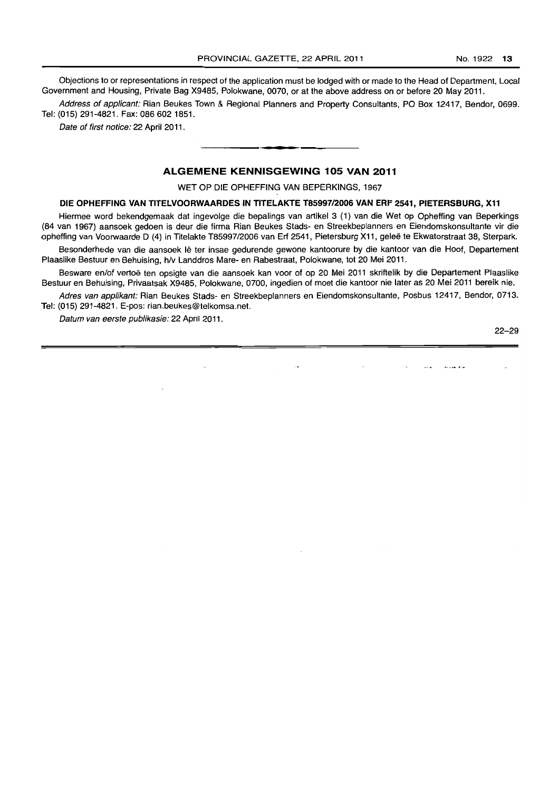Objections to or representations in respect of the application must be lodged with or made to the Head of Department, Local Government and Housing, Private Bag X9485, Polokwane, 0070, or at the above address on or before 20 May 2011.

Address of applicant: Rian Beukes Town & Regional Planners and Property Consultants, PO Box 12417, Bendor, 0699. Tel: (015) 291-4821. Fax: 086 6021851.

Date of first notice: 22 April 2011.

### ALGEMENE KENNISGEWING 105 VAN 2011

**•** 

WET OP DIE OPHEFFING VAN BEPERKINGS, 1967

### DIE OPHEFFING VAN TITELVOORWAARDES IN TITELAKTE T85997/2006 VAN ERF 2541, PIETERSBURG, X11

Hiermee word bekendgemaak dat ingevolge die bepalings van artikel 3 (1) van die Wet op Opheffing van Beperkings (84 van 1967) aansoek gedoen is deur die firma Rian Beukes Stads- en Streakbaplanners an Eiendomskonsultante vir die opheffing van Voorwaarde D (4) in Titelakte T85997/2006 van Erf 2541, Pietersburg X11, gelee te Ekwatorstraat 38, Sterpark.

Besonderhede van die aansoek lê ter insae gedurende gewone kantoorure by die kantoor van die Hoof, Departement Plaaslike Bestuur en Behuising, h/v Landdros Mare- en Rabestraat, Polokwane, tot 20 Mei 2011.

Besware en/of vertoë ten opsigte van die aansoek kan voor of op 20 Mei 2011 skriftelik by die Departement Plaaslike Bestuur en Behuising, Privaatsak X9485, Polokwane, 0700, ingedien of moet die kantoor nie later as 20 Mei 2011 bereik nie.

Adres van applikant: Rian Beukes Stads- en Streekbeplanners en Eiendomskonsultante, Posbus 12417, Bendor, 0713. Tel: (015) 291-4821. E-pos: rian.beukes@telkomsa.net.

Datum van eerste pub/ikasie: 22 April 2011.

22-29

 $\sim$  and  $\sim$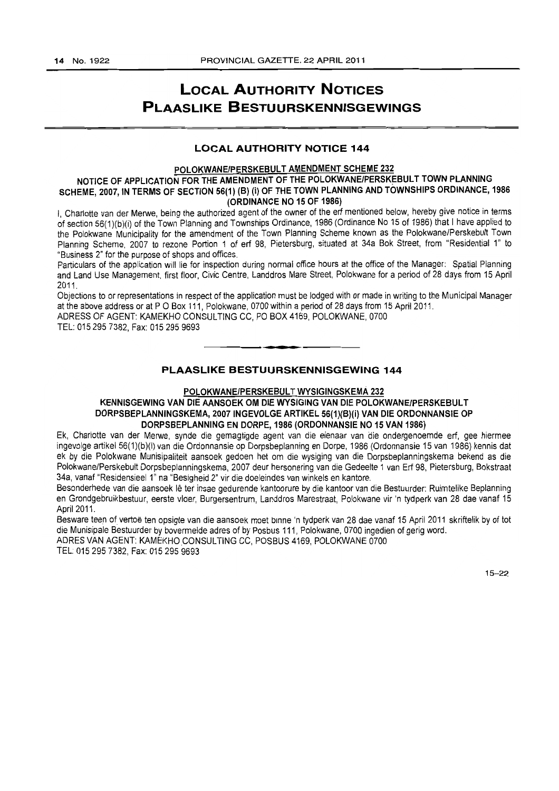## **LOCAL AUTHORITY NOTICES PLAASLIKE BESTUURSKENNISGEWINGS**

### **LOCAL AUTHORITY NOTICE 144**

### POLOKWANE/PERSKEBULT AMENDMENT SCHEME 232

### NOTICE OF APPLICATION FOR THE AMENDMENT OF THE POLOKWANE/PERSKEBULT TOWN PLANNING SCHEME, 2007, IN TERMS OF SECTION 56(1) (B) (i) OF THE TOWN PLANNING AND TOWNSHIPS ORDINANCE, 1986 (ORDINANCE NO 15 OF 1986)

I, Charlotte van der Merwe, being the authorized agent of the owner of the erf mentioned below, hereby give notice in terms of section 56(1 )(b)(i) of the Town Planning and Townships Ordinance, 1986 (Ordinance No 15 of 1986) that I have applied to the Polokwane Municipality for the amendment of the Town Planning Scheme known as the Polokwane/Perskebult Town Planning Scheme, 2007 to rezone Portion 1 of erf 98, Pietersburg, situated at 34a Bok Street, from "Residential 1" to "Business 2" for the purpose of shops and offices.

Particulars of the application will lie for inspection during normal office hours at the office of the Manager: Spatial Planning and Land Use Management, first floor, Civic Centre, Landdros Mare Street, Polokwane for a period of 28 days from 15 April 2011.

Objections to or representations in respect of the application must be lodged with or made in writing to the Municipal Manager at the above address or at P O Box 111, Polokwane, 0700 within a period of 28 days from 15 April 2011.

. **- .** 

ADRESS OF AGENT: KAMEKHO CONSULTING CC, PO BOX 4169, POLOKWANE, 0700

TEL: 0152957382, Fax: 0152959693

### **PLAASLIKE BESTUURSKENNISGEWING 144**

### POLOKWANE/PERSKEBULT WYSIGINGSKEMA 232

### KENNISGEWING VAN DIE AANSOEK OM DIE WYSIGING VAN DIE POLOKWANEIPERSKEBULT DORPSBEPLANNINGSKEMA, 2007 INGEVOLGE ARTIKEL 56(1)(B)(i) VAN DIE ORDONNANSIE OP DORPSBEPLANNING EN DORPE, 1986 (ORDONNANSIE NO 15 VAN 1986)

Ek, Charlotte van der Merwe, synde die gemagtigde agent van die eienaar van die ondergenoemde erf, gee hiermee ingevolge artikel 56(1)(b)(i) van die Ordonnansie op Dorpsbeplanning en Dorpe, 1986 (Ordonnansie 15 van 1986) kennis dat ek by die Polokwane Munisipaliteit aansoek gedoen het om die wysiging van die Dorpsbeplanningskema bekend as die Polokwane/Perskebult Dorpsbeplanningskema, 2007 deur hersonering van die Gedeelte 1 van Erf 98, Pietersburg, Bokstraat 34a, vanaf "Residensieel 1" na "Besigheid 2" vir die doeleindes van winkels en kantore.

Besonderhede van die aansoek lê ter insae gedurende kantoorure by die kantoor van die Bestuurder: Ruimtelike Beplanning en Grondgebruikbestuur, eerste vloer, Burgersentrum, Landdros Marestraat, Polokwane vir 'n tydperk van 28 dae vanaf 15 April 2011.

Besware teen of vertoë ten opsigte van die aansoek moet binne 'n tydperk van 28 dae vanaf 15 April 2011 skriftelik by of tot die Munisipale Bestuurder by bovermelde adres of by Posbus 111, Polokwane, 0700 ingedien of gerig word.

ADRES VAN AGENT: KAMEKHO CONSULTING CC, POSBUS 4169, POLOKWANE 0700 TEL: 0152957382, Fax: 0152959693

15-22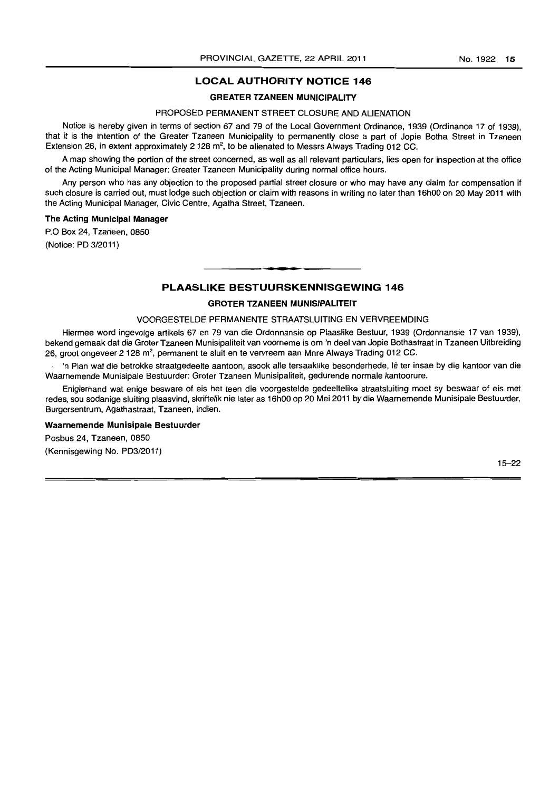### **GREATER TZANEEN MUNICIPALITY**

### PROPOSED PERMANENT STREET CLOSURE AND ALIENATION

Notice is hereby given in terms of section 67 and 79 of the Local Government Ordinance, 1939 (Ordinance 17 of 1939), that it is the intention of the Greater Tzaneen Municipality to permanently close a part of Jopie Botha Street in Tzaneen Extension 26, in extent approximately 2 128 m<sup>2</sup>, to be alienated to Messrs Always Trading 012 CC.

A map showing the portion of the street concerned, as well as all relevant particulars, lies open for inspection at the office of the Acting Municipal Manager: Greater Tzaneen Municipality during normal office hours.

Any person who has any objection to the proposed partial street closure or who may have any claim for compensation if such closure is carried out, must lodge such objection or claim with reasons in writing no later than 16hOO on 20 May 2011 with the Acting Municipal Manager, Civic Centre, Agatha Street, Tzaneen.

### **The Acting Municipal Manager**

P.O Box 24, Tzaneen, 0850

(Notice: PD 3/2011)

## **• PLAASLIKE BESTUURSKENNISGEWING 146**

### **GROTER TZANEEN MUNISIPALITEIT**

#### VOORGESTELDE PERMANENTE STRAATSLUITING EN VERVREEMDING

Hiermee word ingevolge artikels 67 en 79 van die Ordonnansie op Plaaslike Bestuur, 1939 (Ordonnansie 17 van 1939), bekend gemaak dal die Groter Tzaneen Munisipaliteit van voorneme is om 'n deel van Jopie Bothastraat in Tzaneen Uitbreiding 26, groot ongeveer 2128 m2, permanent te sluit en te vervreem aan Mnre Always Trading 012 CC.

'n Plan wat die betrokke straatgedeelte aantoon, asook aile tersaaklike besonderhede, Ie ter insae by die kantoor van die Waarnemende Munisipale Bestuurder: Groter Tzaneen Munisipaliteit, gedurende normale kantoorure.

Enigiemand wat enige besware of eis het teen die voorgestelde gedeeltelike straatsluiting moet sy beswaar of eis met redes, sou sodanige sluiting plaasvind, skriftelik nie later as 16hOO op 20 Mei 2011 by die Waarnemende Munisipale Bestuurder, Burgersentrum, Agathastraat, Tzaneen, indien.

#### **Waarnemende Munisipale Bestuurder**

Posbus 24, Tzaneen, 0850 (Kennisgewing No. PD3/2011)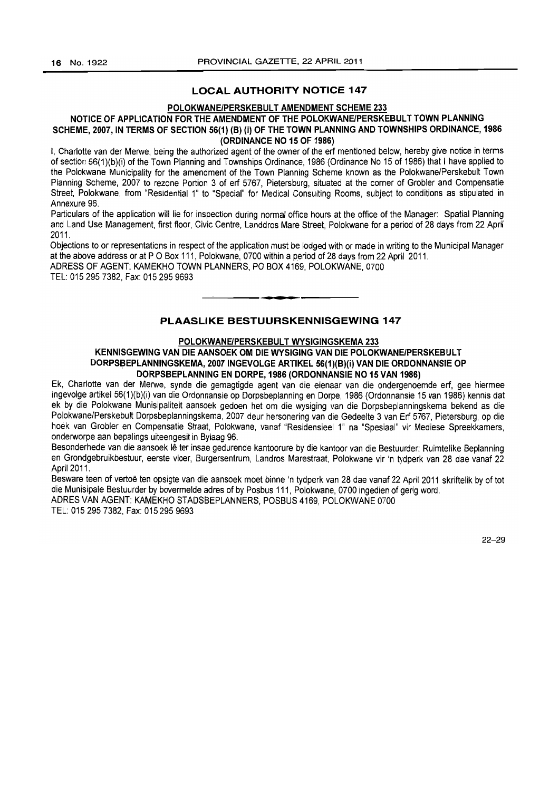#### POLOKWANE/PERSKEBULT AMENDMENT SCHEME 233

### NOTICE OF APPLICATION FOR THE AMENDMENT OF THE POLOKWANE/PERSKEBULT TOWN PLANNING SCHEME, 2007, IN TERMS OF SECTION 56(1) (B) (i) OF THE TOWN PLANNING AND TOWNSHIPS ORDINANCE, 1986 (ORDINANCE NO 15 OF 1986)

I, Charlotte van der Merwe, being the authorized agent of the owner of the ert mentioned below, hereby give notice in terms of section 56(1)(b)(i) of the Town Planning and Townships Ordinance, 1986 (Ordinance No 15 of 1986) that I have applied to the Polokwane Municipality for the amendment of the Town Planning Scheme known as the Polokwane/Perskebult Town Planning Scheme, 2007 to rezone Portion 3 of ert 5767, Pietersburg, situated at the corner of Grobler and Compensatie Street, Polokwane, from "Residential 1" to "Special" for Medical Consulting Rooms, subject to conditions as stipulated in Annexure 96.

Particulars of the application will lie for inspection during normal office hours at the office of the Manager: Spatial Planning and Land Use Management, first floor, Civic Centre, Landdros Mare Street, Polokwane for a period of 28 days from 22 April 2011.

Objections to or representations in respect of the application must be lodged with or made in writing to the Municipal Manager at the above address or at P O Box 111, Polokwane, 0700 within a period of 28 days from 22 April 2011.

ADRESS OF AGENT: KAMEKHO TOWN PLANNERS, PO BOX 4169, POLOKWANE, 0700 TEL: 0152957382, Fax: 0152959693 . **- .** 

### PLAASLIKE BESTULIRSKENNISGEWING 147

### POLOKWANE/PERSKEBULT WYSIGINGSKEMA 233

### KENNISGEWING VAN DIE AANSOEK OM DIE WYSIGING VAN DIE POLOKWANE/PERSKEBULT DORPSBEPLANNINGSKEMA, *2007* INGEVOLGE ARTIKEL 56(1)(B)(i) VAN DIE ORDONNANSIE OP DORPSBEPLANNING EN DORPE, 1986 (ORDONNANSIE NO 15 VAN 1986)

Ek, Charlotte van der Merwe, synde die gemagtigde agent van die eienaar van die ondergenoemde eri, gee hiermee ingevolge artikel 56(1)(b)(i) van die Ordonnansie op Dorpsbeplanning en Dorpe, 1986 (Ordonnansie 15 van 1986) kennis dat ek by die Polokwane Munisipaliteit aansoek gedoen het om die wysiging van die Dorpsbeplanningskema bekend as die Polokwane/Perskebult Dorpsbeplanningskema, 2007 deur hersonering van die Gedeelte 3 van Ert 5767, Pietersburg, op die hoek van Grobler en Compensatie Straat, Polokwane, vanaf "Residensieel 1" na "Spesiaal" vir Mediese Spreekkamers, onderworpe aan bepalings uiteengesit in Bylaag 96.

Besonderhede van die aansoek lê ter insae gedurende kantoorure by die kantoor van die Bestuurder: Ruimtelike Beplanning en Grondgebruikbestuur, eerste vloer, Burgersentrum, Landros Marestraat, Polokwane vir 'n tydperk van 28 dae vanaf 22 April 2011.

Besware teen of vertoë ten opsigte van die aansoek moet binne 'n tydperk van 28 dae vanaf 22 April 2011 skriftelik by of tot die Munisipale Bestuurder by bovermelde adres of by Posbus 111, Polokwane, 0700 ingedien of geng word. ADRES VAN AGENT: KAMEKHO STADSBEPLANNERS, POSBUS 4169, POLOKWANE 0700

TEL: 0152957382, Fax: 0152959693

22-29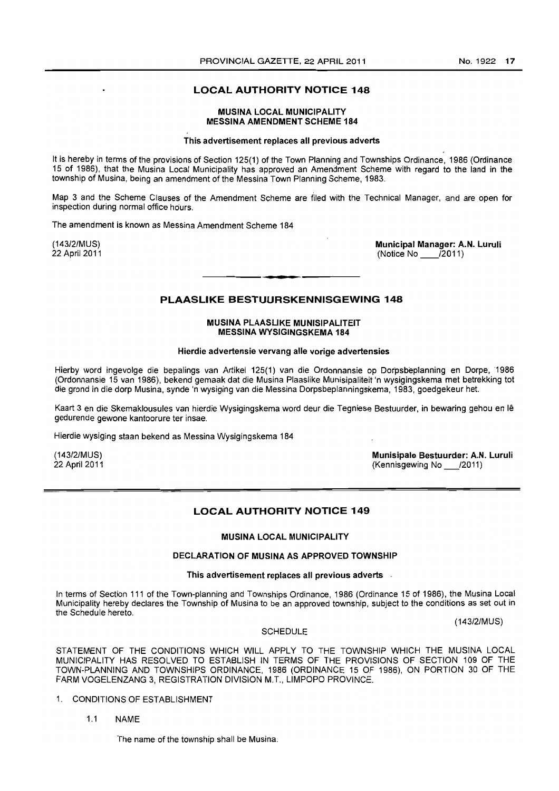### MUSINA LOCAL MUNICIPALITY MESSINA AMENDMENT SCHEME 184

### This advertisement replaces all previous adverts

It is hereby in terms of the provisions of Section 125(1) of the Town Planning and Townships Ordinance, 1986 (Ordinance 15 of 1986), that the Musina Local Municipality has approved an Amendment Scheme with regard to the land in the township of Musina, being an amendment of the Messina Town Planning Scheme, 1983.

Map 3 and the Scheme Clauses of the Amendment Scheme are filed with the Technical Manager, and are open for inspection during normal office hours.

The amendment is known as Messina Amendment Scheme 184

(143/2/MUS) 22 April 2011 Municipal Manager: A.N. Luruli  $(Notice No$   $\bar{I}2011)$ 

### PLAASLIKE BESTUURSKENNISGEWING 148

• **• I** 

### MUSINA PLAASLIKE MUNISIPALITEIT MESSINA WYSIGINGSKEMA 184

#### Hierdie advertensie vervang aile vorige advertensies

Hierby word ingevolge die bepalings van Artikel 125(1) van die Ordonnansie op Dorpsbeplanning en Dorpe, 1986 (Ordonnansie 15 van 1986), bekend gemaak dat die Musina Plaaslike Munisipaliteit 'n wysigingskema met betrekking tot die grond in die dorp Musina, synde 'n wysiging van die Messina Dorpsbeplanningskema, 1983, goedgekeur het.

Kaart 3 en die Skemaklousules van hierdie Wysigingskema word deur die Tegniese Bestuurder, in bewaring gehou en Ie gedurende gewone kantoorure ter insae.

Hierdie wysiging staan bekend as Messina Wysigingskema 184

(143/2/MUS) 22 April 2011 Munisipale Bestuurder: A.N. Luruli (Kennisgewing No \_/2011)

### LOCAL AUTHORITY NOTICE 149

### MUSINA LOCAL MUNICIPALITY

### DECLARATION OF MUSINA AS APPROVED TOWNSHIP

#### This advertisement replaces all previous adverts .

In terms of Section 111 of the Town-planning and Townships Ordinance, 1986 (Ordinance 15 of 1986), the Musina Local Municipality hereby declares the Township of Musina to be an approved township, subject to the conditions as set out in the Schedule hereto,

(143/2/MUS)

### **SCHEDULE**

STATEMENT OF THE CONDITIONS WHICH WILL APPLY TO THE TOWNSHIP WHICH THE MUSINA LOCAL MUNICIPALITY HAS RESOLVED TO ESTABLISH IN TERMS OF THE PROVISIONS OF SECTION 109 OF THE TOWN-PLANNING AND TOWNSHIPS ORDINANCE, 1986 (ORDINANCE 15 OF 1986), ON PORTION 30 OF THE FARM VOGELENZANG 3, REGISTRATION DIVISION M.T., LIMPOPO PROVINCE.

- 1. CONDITIONS OF ESTABLISHMENT
	- 1.1 NAME

The name of the township shall be Musina.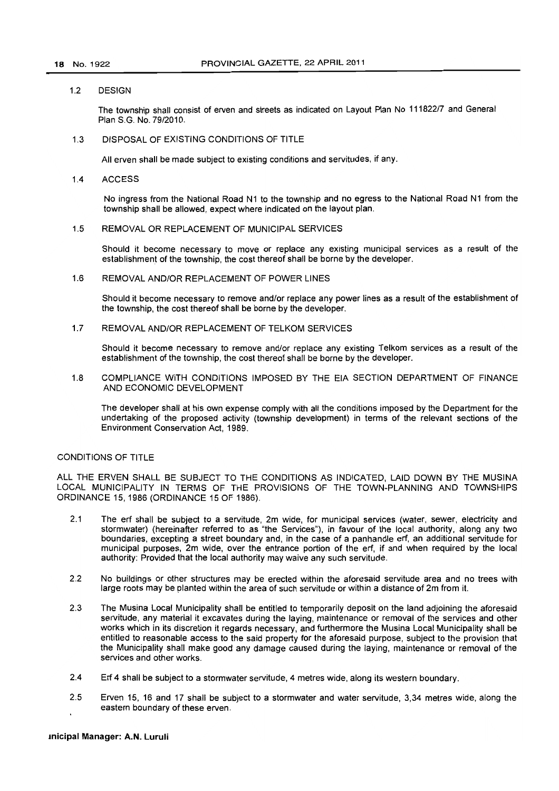#### 1.2 DESIGN

The township shall consist of erven and streets as indicated on Layout Plan No 111822/7 and General Plan S.G. No. 79/2010.

1.3 DISPOSAL OF EXISTING CONDITIONS OF TITLE

All erven shall be made subject to existing conditions and servitudes, if any.

1.4 ACCESS

No ingress from the National Road N1 to the township and no egress to the National Road N1 from the township shall be allowed, expect where indicated on the layout plan.

1.5 REMOVAL OR REPLACEMENT OF MUNICIPAL SERVICES

Should it become necessary to move or replace any existing municipal services as a result of the establishment of the township, the cost thereof shall be borne by the developer.

1.6 REMOVAL ANDIOR REPLACEMENT OF POWER LINES

Should it become necessary to remove and/or replace any power lines as a result of the establishment of the township, the cost thereof shall be borne by the developer.

1.7 REMOVAL ANDIOR REPLACEMENT OF TELKOM SERVICES

Should it become necessary to remove and/or replace any existing Telkom services as a result of the establishment of the township. the cost thereof shall be borne by the developer.

1.8 COMPLIANCE WITH CONDITIONS IMPOSED BY THE EIA SECTION DEPARTMENT OF FINANCE AND ECONOMIC DEVELOPMENT

The developer shall at his own expense comply with all the conditions imposed by the Department for the undertaking of the proposed activity (township development) in terms of the relevant sections of the Environment Conservation Act, 1989.

### CONDITIONS OF TITLE

ALL THE ERVEN SHALL BE SUBJECT TO THE CONDITIONS AS INDICATED, LAID DOWN BY THE MUSINA LOCAL MUNICIPALITY IN TERMS OF THE PROVISIONS OF THE TOWN-PLANNING AND TOWNSHIPS ORDINANCE 15, 1986 (ORDINANCE 15 OF 1986).

- 2.1 The ert shall be subject to a servitude, 2m wide, for municipal services (water, sewer, electricity and stormwater) (hereinafter referred to as "the Services"), in favour of the local authority, along any two boundaries, excepting a street boundary and, in the case of a panhandle ert, an additional servitude for municipal purposes, 2m wide, over the entrance portion of the ert, if and when required by the local authority: Provided that the local authority may waive any such servitude.
- 2.2 No buildings or other structures may be erected within the aforesaid servitude area and no trees with large roots may be planted within the area of such servitude or within a distance of 2m from it.
- 2.3 The Musina Local Municipality shall be entitled to temporarily deposit on the land adjoining the aforesaid servitude, any material it excavates during the laying, maintenance or removal of the services and other works which in its discretion it regards necessary, and furthermore the Musina Local Municipality shall be entitled to reasonable access to the said property for the aforesaid purpose, subject to the provision that the Municipality shall make good any damage caused during the laying, maintenance or removal of the services and other works.
- 2.4 Ert 4 shall be subject to a stormwater servitude, 4 metres wide, along its western boundary.
- 2.5 Erven 15, 16 and 17 shall be subject to a stormwater and water servitude, 3,34 metres wide, along the eastern boundary of these erven.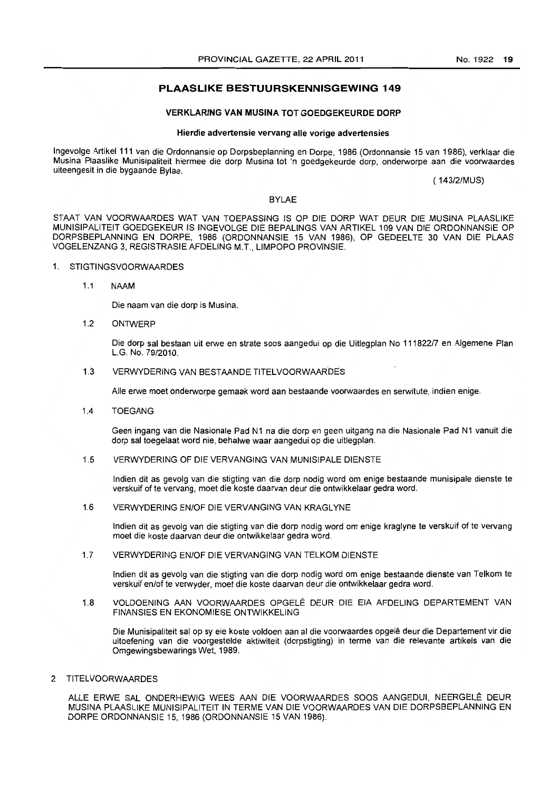### **PLAASLIKE BESTUURSKENNISGEWING 149**

### **VERKLARING VAN MUSINA TOT GOEDGEKEURDE DORP**

### **Hierdie advertensie vervang aile vorige advertensies**

Ingevolge Artikel 111 van die Ordonnansie op Dorpsbeplanning en Dorpe, 1986 (Ordonnansie 15 van 1986), verklaar die Musina Plaaslike Munisipaliteit hiermee die dorp Musina tot 'n goedgekeurde dorp, onderworpe aan die voorwaardes uiteengesit in die bygaande Bylae.

( 143/2/MUS)

### BYLAE

STAAT VAN VOORWAARDES WAT VAN TOEPASSING IS OP DIE DORP WAT DEUR DIE MUSINA PLAASLIKE MUNISIPAUTEIT GOEDGEKEUR IS INGEVOLGE DIE BEPALINGS VAN ARTIKEL 109 VAN DIE ORDONNANSIE OP DORPSBEPLANNING EN DORPE, 1986 (ORDONNANSIE 15 VAN 1986), OP GEDEELTE 30 VAN DIE PLAAS VOGELENZANG 3, REGJSTRASIE AFDELING M.T., LIMPOPO PROVINSIE.

### 1. STIGTINGSVOORWAARDES

1.1 NAAM

Die naam van die dorp is Musina.

1.2 ONTWERP

Die dorp sal bestaan uit erwe en strate soos aangedui op die Uitlegplan No 11182217 en Aigemene Plan LG. No. 79/2010.

1.3 VERWYDERING VAN BESTAANDE TITELVOORWAAR'DES

Aile erwe moet onderworpe gemaak word aan bestaande voorwaardes en serwitute, indien enige.

1.4 TOEGANG

Geen ingang van die Nasionale Pad N1 na die dorp en geen uitgang na die Nasionale Pad N1 vanuit die dorp sal toegelaat word nie, behalwe waar aangedui op die uitlegplan.

1.5 VERWYDERING OF DIE VERVANGING VAN MUNISIPALE DIENSTE

Indien dit as gevolg van die stigting van die dorp nodig word om enige bestaande munisipale dienste te verskuif of te vervang, moet die koste daarvan deur die ontwikkelaar gedra word.

1.6 VERWYDERING EN/OF DIE VERVANGING VAN KRAGL YNE

Indien dit as gevolg van die stigting van die dorp nodig word om enige kraglyne te verskuif of te vervang moet die koste daarvan deur die ontwikkelaar gedra word.

1.7 VERWYDERING EN/OF DIE VERVANGING VAN TELKOM DIENSTE

Indien dit as gevolg van die stigting van die dorp nodig word am enige bestaande dienste van Telkom te verskuif en/of te verwyder, moet die koste daarvan deur die ontwikkelaar gedra word.

1.8 VOLDOENING AAN VOORWAARDES OPGELE DEUR DIE EIA AFDELING DEPARTEMENT VAN FINANSIES EN EKONOMIESE ONTWIKKELING

Die Munisipaliteit salop sy eie koste voldoen aan al die voorwaardes opgele deur die Departement vir die uitoefening van die voorgestelde aktiwiteit (dorpstigting) in terme van die relevante artikels van die Omgewingsbewarings Wet, 1989.

2 TITELVOORWAARDES

ALLE ERWE SAL ONDERHEWIG WEES AAN DIE VOORWAARDES SOOS AANGEDUI, NEERGELÊ DEUR MUSINA PLAASLIKE MUNISIPALITEIT IN TERME VAN DIE VOORWAARDES VAN DIE DORPSBEPLANNING EN DORPE ORDONNANSIE 15,1986 (ORDONNANSIE 15 VAN 1986).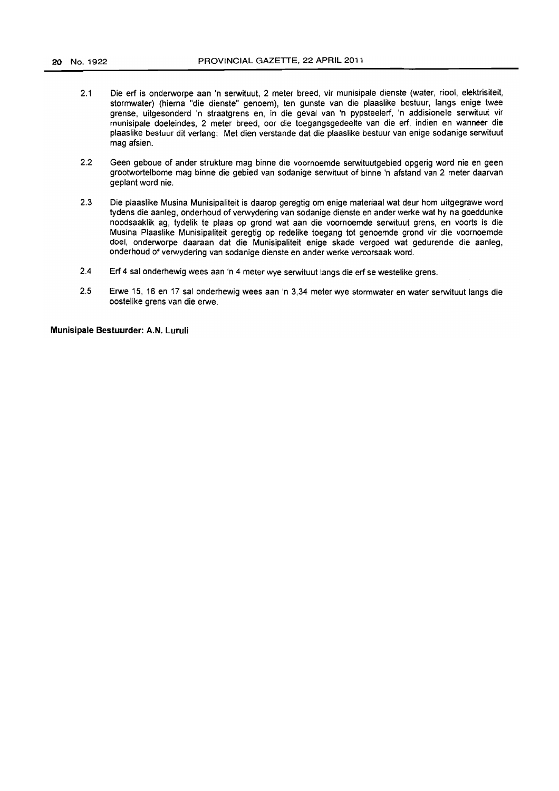- 2.1 Die erf is onderworpe aan 'n serwituut, 2 meter breed, vir munisipale dienste (water, riool, elektrisiteit, stormwater) (hierna "die dienste" genoem), ten gunste van die plaaslike bestuur, langs enige twee grense, uitgesonderd 'n straatgrens en, in die geval van 'n pypsteelerf, 'n addisionele serwituut vir munisipale doeleindes, 2 meter breed, oar die toegangsgedeelte van die erf, indien en wanneer die plaaslike bestuur dit verlang: Met dien verstande dat die plaaslike bestuur van enige sodanige serwituut mag afsien.
- 2.2 Geen geboue of ander strukture mag binne die voornoemde serwituutgebied opgerig word nie en geen grootwortelbome mag binne die gebied van sodanige serwituut of binne 'n afstand *van* 2 meter daarvan geplant word nie.
- 2.3 Die plaaslike Musina Munisipaliteit is daarop geregtig om enige materiaal wat deur hom uitgegrawe word tydens die aanleg, onderhoud of verwydering van sodanige dienste en ander werke wat hy na goeddunke noodsaaklik ag, tydelik te plaas op grond wat aan die voornoemde serwituut grens, en voorts is die Musina Plaaslike Munisipatiteit geregtig op redelike toegang tot genoemde grond vir die voornoemde doel, onderworpe daaraan dat die Munisipaliteit enige skade vergoed wat gedurende die aanleg, onderhoud of verwydering van sodanige dienste en ander werke veroorsaak word.
- 2.4 Erf 4 sal onderhewig wees aan 'n 4 meter wye serwituut langs die erf se westelike grens.
- 2.5 Erwe 15, 16 en 17 sal onderhewig wees aan 'n 3,34 meter wye stormwater en water serwituut langs die oostelike grens van die erwe.

**Munisipale Bestuurder: A.N. Luruli**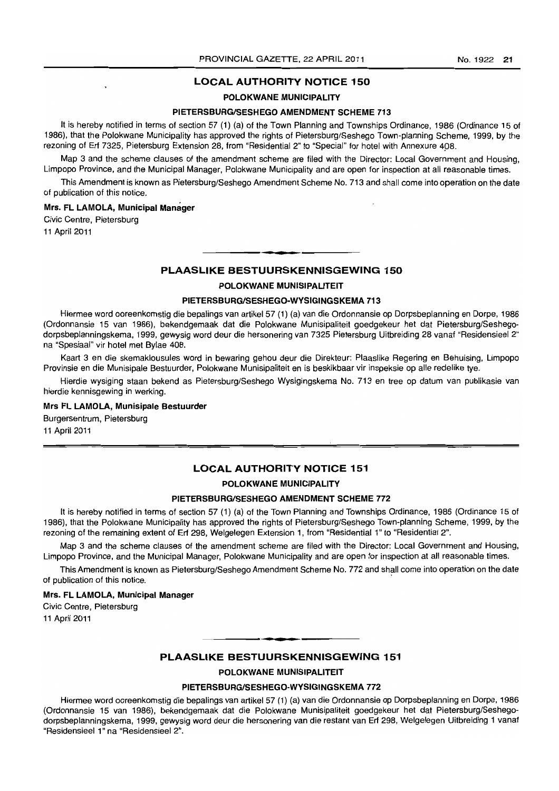### POLOKWANE MUNICIPALITY

### PIETERSBURG/SESHEGO AMENDMENT SCHEME 713

It is hereby notified in terms of section 57 (1) (a) of the Town Planning and Townships Ordinance, 1986 (Ordinance 15 of 1986), that the Polokwane Municipality has approved the rights of Pietersburg/Seshego Town-planning Scheme, 1999, by the rezoning of Erf 7325, Pietersburg Extension 28, from "Residential 2" to "Special" for hotel with Annexure 4p8.

Map 3 and the scheme clauses of the amendment scheme are filed with the Director: Local Government and Housing, Limpopo Province, and the Municipal Manager, Polokwane Municipality and are open for inspection at all reasonable times.

This Amendment is known as Pietersburg/Seshego Amendment Scheme No. 713 and shall come into operation on the date of publication of this notice.

### Mrs. FL LAMOLA, Municipal Manager

Civic Centre, Pietersburg 11 April 2011

### PLAASLIKE BESTUURSKENNISGEWING 150

**. -**

### POLOKWANE MUNISIPALITEIT

### PIETERSBURG/SESHEGO-WYSIGINGSKEMA 713

Hiermee word ooreenkomstig die bepalings van artikel 57 (1) (a) van die Ordonnansie op Dorpsbeplanning en Dorpe, 1986 (Ordonnansie 15 van 1986), bekendgemaak dat die Polokwane Munisipaliteit goedgekeur het dat Pietersburg/Seshegodorpsbeplanningskema, 1999, gewysig word deur die hersonering van 7325 Pietersburg Uitbreiding 28 vanaf "Residensieel 2" na "Spesiaal" vir hotel met Bylae 408.

Kaart 3 en die skemaklousules word in bewaring gehou deur die Direkteur: Plaaslike Regering en Behuising, Limpopo Provinsie en die Munisipale Bestuurder, Polokwane Munisipaliteit en is beskikbaar vir inspeksie op aile redelike tye.

Hierdie wysiging staan bekend as Pietersburg/Seshego Wysigingskema No. 713 en tree op datum van publikasie van hierdie kennisgewing in werking.

### Mrs FL LAMOLA, Munisipale Bestuurder

Burgersentrum, Pietersburg 11 April 2011

### LOCAL AUTHORITY NOTICE 151

### POLOKWANE MUNICIPALITY

### PIETERSBURG/SESHEGO AMENDMENT SCHEME 772

It is hereby notified in terms of section 57 (1) (a) of the Town Planning and Townships Ordinance, 1986 (Ordinance 15 of 1986), that the Polokwane Municipality has approved the rights of Pietersburg/Seshego Town-planning Scheme, 1999, by the rezoning of the remaining extent of Erf 298, Welgelegen Extension 1, from "Residential 1" to "Residential 2".

Map 3 and the scheme clauses of the amendment scheme are filed with the Director: Local Government and Housing, Limpopo Province, and the Municipal Manager. Polokwane Municipality and are open for inspection at all reasonable times.

This Amendment is known as Pietersburg/Seshego Amendment Scheme No. 772 and shall come into operation on the date of publication of this notice. .

### Mrs. FL LAMOLA, Municipal Manager

Civic Centre, Pietersburg 11 April 2011

### • **- I**  PLAASLIKE BESTUURSKENNISGEWING 151

POLOKWANE MUNISIPALITEIT

### PIETERSBURG/SESHEGO-WYSIGINGSKEMA 772

Hiermee word ooreenkomstig die bepalings van artikel57 (1) (a) van die Ordonnansie op Dorpsbeplanning en Dorpe, 1986 (Ordonnansie 15 van 1986), bekendgemaak dat die Polokwane Munisipaliteit goedgekeur het dat Pietersburg/Seshegodorpsbeplanningskema, 1999, gewysig word deur die hersonering van die restant van Erf 298, Welgelegen Uitbreiding 1 vanaf "Residensleel 1" na "Residensieel 2".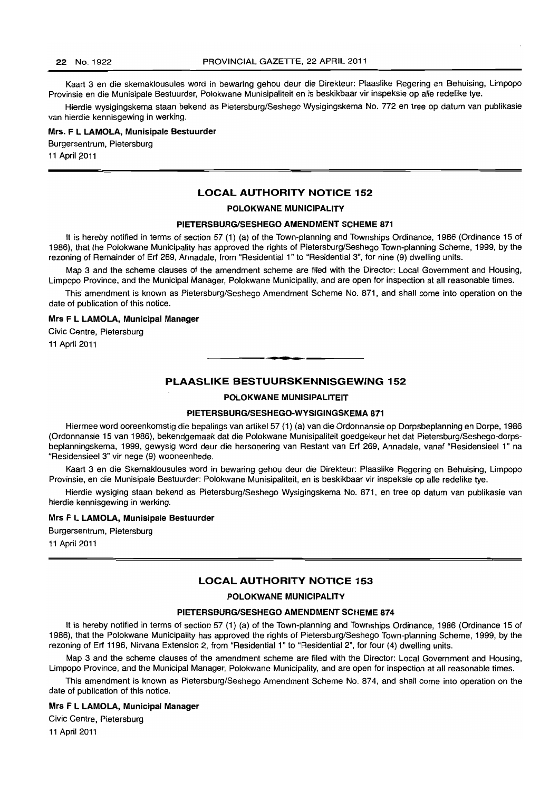Kaart 3 en die skemaklousules word in bewaring gehou deur die Direkteur: Plaaslike Regering en Behuising, Limpopo Provinsie en die Munisipale Bestuurder, Polokwane Munisipaliteit en is beskikbaar vir inspeksie op aile redelike tye.

Hierdie wysigingskema staan bekend as Pietersburg/Seshego Wysigingskema No. 772 en tree op datum van publikasie van hierdie kennisgewing in werking.

### Mrs. F L LAMOLA, Munisipale Bestuurder

Burgersentrum, Pietersburg

11 April 2011

### LOCAL AUTHORITY NOTICE 152

### POLOKWANE MUNICIPALITY

#### PIETERSBURG/SESHEGO AMENDMENT SCHEME 871

It is hereby notified in terms of section 57 (1) (a) of the Town-planning and Townships Ordinance, 1986 (Ordinance 15 of 1986), that the Polokwane Municipality has approved the rights of Pietersburg/Seshego Town-planning Scheme, 1999, by the rezoning of Remainder of Erf 269, Annadale, from "Residential 1" to "Residential 3", for nine (9) dwelling units.

Map 3 and the scheme clauses of the amendment scheme are filed with the Director: Local Government and Housing, Limpopo Province, and the Municipal Manager, Polokwane Municipality, and are open for inspection at all reasonable times.

This amendment is known as Pietersburg/Seshego Amendment Scheme No. 871, and shall come into operation on the date of publication of this notice.

#### Mrs F L LAMOLA, Municipal Manager

Civic Centre, Pietersburg 11 April 2011

### PLAASLIKE BESTUURSKENNISGEWING 152

**•** 

POLOKWANE MUNISIPALITEIT

#### PIETERSBURG/SESHEGO-WYSIGINGSKEMA 871

Hiermee word ooreenkomstig die bepalings van artikel 57 (1) (a) van die Ordonnansie op Dorpsbeplanning en Dorpe, 1986 (Ordonnansie 15 van 1986), bekendgemaak dat die Polokwane Munisipaliteit goedgekeur het dat Pietersburg/Seshego-dorpsbeplanningskema, 1999, gewysig word deur die hersonering van Restant van Erf 269, Annadale, vanaf "Residensieel 1" na "Residensieel 3" vir nege (9) wooneenhede.

Kaart 3 en die Skemaklousules word in bewaring gehou deur die Direkteur: Plaaslike Regering en Behuising, Limpopo Provinsie, en die Munisipale Bestuurder: Polokwane Munisipaliteit, en is beskikbaar vir inspeksie op aile redelike tye.

Hierdie wysiging staan bekend as Pietersburg/Seshego Wysigingskema No. 871, en tree op datum van publikasie van hierdie kennisgewing in werking.

### Mrs F L LAMOLA, Munisipale Bestuurder

Burgersentrum, Pietersburg

11 April 2011

### LOCAL AUTHORITY NOTICE 153

#### POLOKWANE MUNICIPALITY

### PIETERSBURG/SESHEGO AMENDMENT SCHEME 874

It is hereby notified in terms of section 57 (1) (a) of the Town-planning and Townships Ordinance, 1986 (Ordinance 15 of 1986), that the Polokwane Municipality has approved the rights of Pietersburg/Seshego Town-planning Scheme, 1999, by the rezoning of Erf 1196, Nirvana Extension 2, from "Residential 1" to "Residential 2", for four (4) dwelling units.

Map 3 and the scheme clauses of the amendment scheme are filed with the Director: Local Government and Housing, Limpopo Province, and the Municipal Manager, Polokwane Municipality, and are open for inspection at all reasonable times.

This amendment is known as Pietersburg/Seshego Amendment Scheme No. 874, and shall come into operation on the date of publication of this notice.

#### Mrs F L LAMOLA, Municipal Manager

Civic Centre, Pietersburg

11 April 2011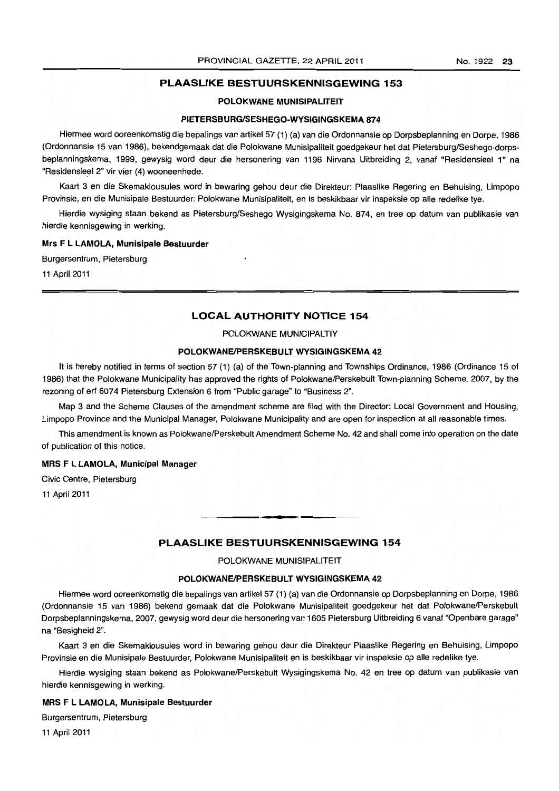### **PLAASLIKE BESTUURSKENNISGEWING 153**

### **POLOKWANE MUNISIPALITEIT**

### **PIETERSBURGISESHEGO-WYSIGINGSKEMA 874**

Hiermee word ooreenkomstig die bepalings *van* artikel57 (1) (a) *van* die Ordonnansie op Dorpsbeplanning en Dorpe, 1986 (Ordonnansie 15 van 1986), bekendgemaak dat die Polokwane Munisipaliteit goedgekeur het dat Pietersburg/Seshego-dorpsbeplanningskema, 1999, gewysig word deur die hersonering van 1196 Nirvana Uitbreiding 2, vanaf "Residensieel 1» na "Residensieel 2» vir vier (4) wooneenhede.

Kaart 3 en die Skemaklousules word in bewaring gehou deur die Direkteur: Plaaslike Regering en Behuising, Limpopo Provinsie, en die Munisipale Bestuurder: Polokwane Munisipaliteit, en is beskikbaar vir inspeksie op aile redelike tye.

Hierdie wysiging staan bekend as Pietersburg/Seshego Wysigingskema No. 874, en tree op datum van publikasie *van*  hierdie kennisgewing in werking.

#### **Mrs F L LAMOLA, Munisipale Bestuurder**

Burgersentrum, Pietersburg

11 April 2011

### **LOCAL AUTHORITY NOTICE 154**

### POLOKWANE MUNICIPALTIY

#### **POLOKWANEIPERSKEBULT WYSIGINGSKEMA 42**

It is hereby notified in terms of section 57 (1) (a) of the Town-planning and Townships Ordinance, 1986 (Ordinance 15 of 1986) that the Polokwane Municipality has approved the rights of Polokwane/Perskebult Town-planning Scheme, 2007, by the rezoning of ert 6074 Pietersburg Extension 6 from "Public garage" to "Business 2".

Map 3 and the Scheme Clauses of the amendment scheme are filed with the Director: Local Government and Housing, Limpopo Province and the Municipal Manager, Polokwane Municipality and are open for inspection at all reasonable times.

This amendment is known as Polokwane/Perskebult Amendment Scheme No. 42 and shall come into operation on the date of publication of this notice.

#### **MRS F L LAMOLA, Municipal Manager**

Civic Centre, Pietersburg

11 April 2011

### **PLAASLIKE BESTUURSKENNISGEWING 154**

**-**

POLOKWANE MUNISIPALITEIT

### **POLOKWANEIPERSKEBULT WYSIGINGSKEMA 42**

Hiermee word ooreenkomstig die bepalings van artikel 57 (1) (a) *van* die Ordonnansie op Dorpsbeplanning en Dorpe, 1986 (Ordonnansie 15 van 1986) bekend gemaak dat die Polokwane Munisipaliteit goedgekeur het dat Polokwane/Perskebult Dorpsbeplanningskema, 2007, gewysig word deur die hersonering van 1605 Pietersburg Uitbreiding 6 vanaf "Openbare garage" na "Besigheid 2".

Kaart 3 en die Skemaklousules word in bewaring gehou deur die Direkteur Plaaslike Regering en Behuising, Limpopo Provinsie en die Munisipale Bestuurder, Polokwane Munisipaliteit en is beskikbaar vir inspeksie op aile redelike tye.

Hierdie wysiging staan bekend as Polokwane/Perskebult Wysigingskema No. 42 en tree op datum van publikasie van hierdie kennisgewing in werking.

#### **MRS F L LAMOLA, Munisipale Bestuurder**

Burgersentrum, Pietersburg

11 April 2011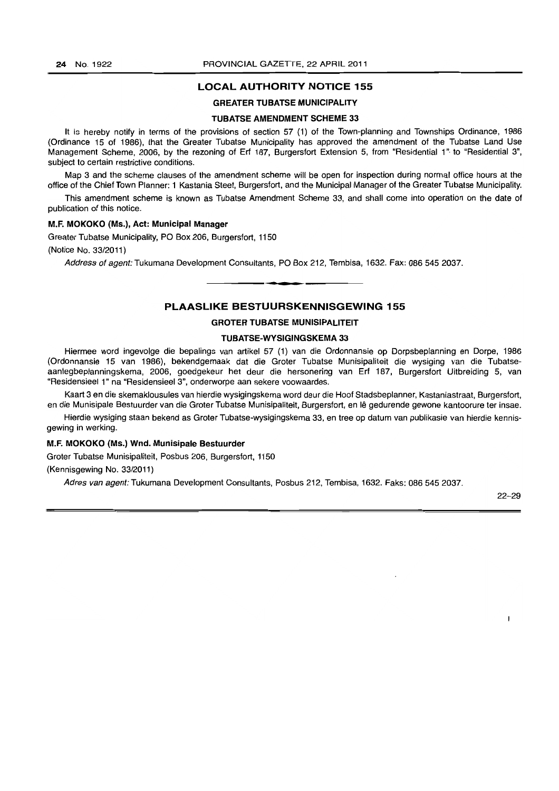#### GREATER TUBATSE MUNICIPALITY

#### TUBATSE AMENDMENT SCHEME 33

It is hereby notify in terms of the provisions of section 57 (1) of the Town-planning and Townships Ordinance, 1986 (Ordinance 15 of 1986), that the Greater Tubatse Municipality has approved the amendment of the Tubatse Land Use Management Scheme, 2006, by the rezoning of Erf 187, Burgersfort Extension 5, from "Residential 1" to "Residential 3", subject to certain restrictive conditions.

Map 3 and the scheme clauses of the amendment scheme will be open for inspection during normal office hours at the office of the Chief Town Planner: 1 Kastania Steet, Burgersfort, and the Municipal Manager of the Greater Tubatse Municipality.

This amendment scheme is known as Tubatse Amendment Scheme 33, and shall come into operation on the date of publication of this notice.

#### M.F. MOKOKO (MS.), Act: Municipal Manager

Greater Tubatse Municipality, PO Box 206, Burgersfort, 1150 (Notice No. 33/2011)

Address of agent: Tukumana Development Consultants, PO Box 212, Tembisa, 1632. Fax: 086 545 2037.

### PLAASLIKE BESTUURSKENNISGEWING 155

**• •** 

### GROTER TUBATSE MUNISIPALITEIT

### TUBATSE-WYSIGINGSKEMA 33

Hiermee word ingevolge die bepalings van artikel 57 (1) van die Ordonnansie op Dorpsbeplanning en Dorpe, 1986 (Ordonnansie 15 van 1986), bekendgemaak dat die Groter Tubatse Munisipaliteit die wysiging van die Tubatseaanlegbeplanningskema, 2006, goedgekeur het deur die hersonering van Erf 187, Burgersfort Uitbreiding 5, van "Residensieel 1" na "Residensieel 3", onderworpe aan sekere voowaardes.

Kaart 3 en die skemaklousules van hierdie wysigingskema word deur die Hoof Stadsbeplanner, Kastaniastraat, Burgersfort, en die Munisipale Bestuurder van die Groter Tubatse Munisipaliteit, Burgersfort, en lê gedurende gewone kantoorure ter insae.

Hierdie wysiging staan bekend as Groter Tubatse-wysigingskema 33, en tree op datum van publikasie van hierdie kennisgewing in werking.

#### M.F. MOKOKO (Ms.) Wnd. Munisipale Bestuurder

Groter Tubatse Munisipaliteit, Posbus 206, Burgersfort, 1150

(Kennisgewing No. 33/2011)

Adres van agent: Tukumana Development Consultants, Posbus 212, Tembisa, 1632. Faks: 086 545 2037.

22-29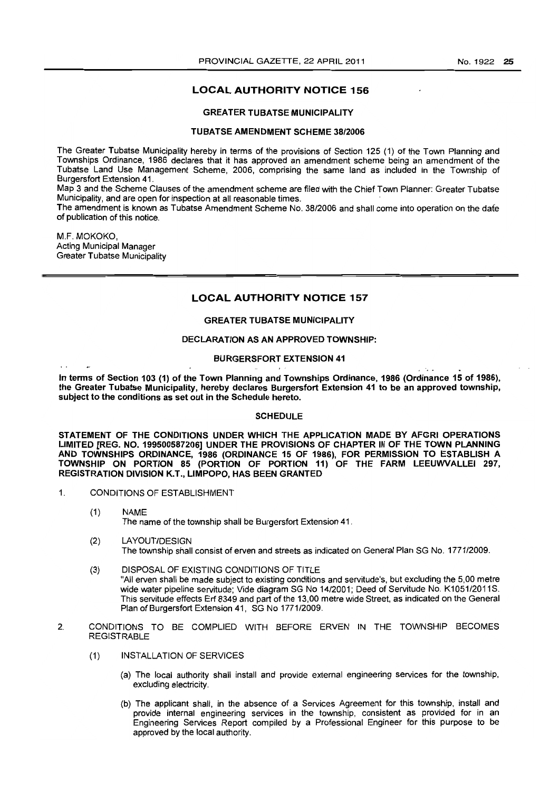### GREATER TUBATSE MUNICIPALITY

#### TUBATSE AMENDMENT SCHEME 38/2006

The Greater Tubatse Municipality hereby in terms of the provisions of Section 125 (1) of the Town Planning and Townships Ordinance, 1986 declares that it has approved an amendment scheme being an amendment of the Tubatse Land Use Management Scheme, 2006, comprising the same land as included in the Township of Burgersfort Extension 41.

Map 3 and the Scheme Clauses of the amendment scheme are filed with the Chief Town Planner: Greater Tubatse Municipality, and are open for inspection at all reasonable times.

The amendment is known as Tubatse Amendment Scheme No. 38/2006 and shall come into operation on the date of publication of this notice.

M.F. MOKOKO, Acting Municipal Manager Greater Tubatse Municipality

 $\ddot{\phantom{0}}$ 

### LOCAL AUTHORITV NOTICE 157

### GREATER TUBATSE MUNICIPALITY

#### DECLARATION AS AN APPROVED TOWNSHIP:

### BURGERSFORT EXTENSION 41

In terms of Section 103 (1) of the Town Planning and Townships Ordinance, 1986 (Ordinance 15 of 1986), the Greater Tubatse Municipality, hereby declares Burgersfort Extension 41 to be an approved township, subject to the conditions as set out in the Schedule hereto.

### **SCHEDULE**

STATEMENT OF THE CONDITIONS UNDER WHICH THE APPLICATION MADE BY AFGRI OPERATIONS LIMITED [REG. NO. 199500587206] UNDER THE PROVISIONS OF CHAPTER III OF THE TOWN PLANNING AND TOWNSHIPS ORDINANCE, 1986 (ORDINANCE 15 OF 1986), FOR PERMISSION TO ESTABLISH A TOWNSHIP ON PORTION 85 (PORTION OF PORTION 11) OF THE FARM LEEUWVALLEI 297, REGISTRATION DIVISION K.T., LIMPOPO, HAS BEEN GRANTED

- 1. CONDITIONS OF ESTABLISHMENT
	- (1) NAME The name of the township shall be Burgersfort Extension 41.
	- (2) LAYOUT/DESIGN The township shall consist of erven and streets as indicated on General Plan SG No. 1771/2009.
	- (3) DISPOSAL OF EXISTING CONDITIONS OF TITLE "All erven shall be made subject to existing conditions and servitude's, but excluding the 5,00 metre wide water pipeline servitude; Vide diagram SG No 14/2001; Deed of Servitude No. K1051/2011S. This servitude effects Erf 8349 and part of the 13,00 metre wide Street, as indicated on the General Plan of Burgersfort Extension 41, SG No 1771/2009.
- 2. CONDITIONS TO BE COMPLIED WITH BEFORE ERVEN IN THE TOWNSHIP BECOMES REGISTRABLE
	- {1} INSTALLATION OF SERVICES
		- (a) The local authority shall install and provide external engineering services for the township, excluding electricity.
		- (b) The applicant shall, in the absence of a Services Agreement for this township, install and provide internal engineering services in the township, consistent as provided for in an Engineering Services Report compiled by a Professional Engineer for this purpose to be approved by the local authority.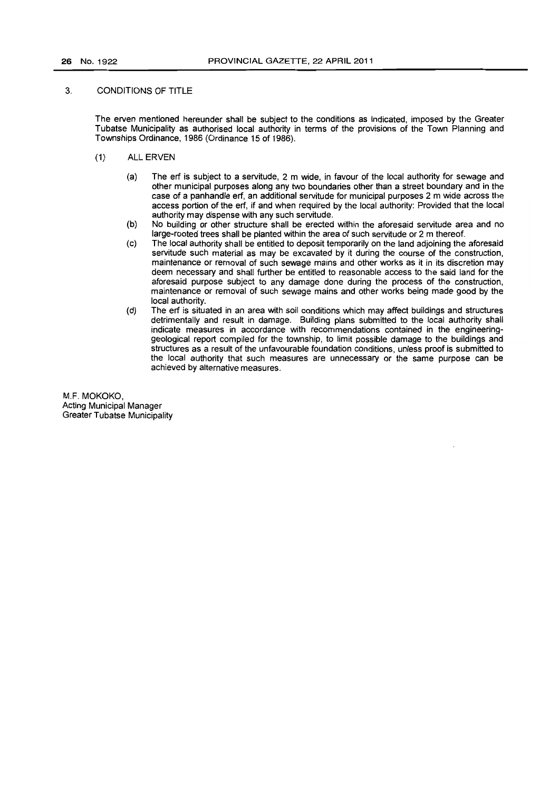### 3. CONDITIONS OF TITLE

The erven mentioned hereunder shall be subject to the conditions as indicated, imposed by the Greater Tubatse Municipality as authorised local authority in terms of the provisions of the Town Planning and Townships Ordinance, 1986 (Ordinance 15 of 1986).

- (1) ALL ERVEN
	- (a) The ert is subject to a servitude, 2 m wide, in favour of the local authority for sewage and other municipal purposes along any two boundaries other than a street boundary and in the case of a panhandle ert, an additional servitude for municipal purposes 2 m wide across the access portion of the ert, if and when required by the local authority: Provided that the local authority may dispense with any such servitude.
	- (b) No building or other structure shall be erected within the aforesaid servitude area and no large-rooted trees shall be planted within the area of such servitude or 2 m thereof.
	- (c) The local authority shall be entitled to deposit temporarily on the land adjoining the aforesaid servitude such material as may be excavated by it during the course of the construction, maintenance or removal of such sewage mains and other works as it in its discretion may deem necessary and shall further be entitled to reasonable access to the said land for the aforesaid purpose subject to any damage done during the process of the construction, maintenance or removal of such sewage mains and other works being made good by the local authority.
	- (d) The ert is situated in an area with soil conditions which may affect buildings and structures detrimentally and result in damage. Building plans submitted to the local authority shall indicate measures in accordance with recommendations contained in the engineeringgeological report compiled for the townShip, to limit possible damage to the buildings and structures as a result of the unfavourable foundation conditions, unless proof is submitted to the local authority that such measures are unnecessary or the same purpose can be achieved by alternative measures.

M.F. MOKOKO, Acting Municipal Manager Greater Tubatse Municipality